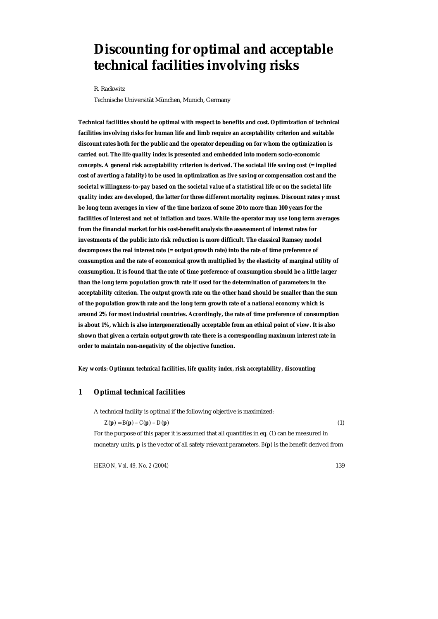# **Discounting for optimal and acceptable technical facilities involving risks**

R. Rackwitz

Technische Universität München, Munich, Germany

**Technical facilities should be optimal with respect to benefits and cost. Optimization of technical facilities involving risks for human life and limb require an acceptability criterion and suitable discount rates both for the public and the operator depending on for whom the optimization is carried out. The** *life quality index* **is presented and embedded into modern socio-economic concepts. A general risk acceptability criterion is derived. The** *societal life saving cost* **(= implied cost of averting a fatality) to be used in optimization as live saving or compensation cost and the**  *societal willingness-to-pay* **based on the** *societal value of a statistical life* **or on the** *societal life quality index* **are developed, the latter for three different mortality regimes. Discount rates** *γ* **must be long term averages in view of the time horizon of some 20 to more than 100 years for the facilities of interest and net of inflation and taxes. While the operator may use long term averages from the financial market for his cost-benefit analysis the assessment of interest rates for investments of the public into risk reduction is more difficult. The classical Ramsey model decomposes the real interest rate (= output growth rate) into the rate of time preference of consumption and the rate of economical growth multiplied by the elasticity of marginal utility of consumption. It is found that the rate of time preference of consumption should be a little larger than the long term population growth rate if used for the determination of parameters in the acceptability criterion. The output growth rate on the other hand should be smaller than the sum of the population growth rate and the long term growth rate of a national economy which is around 2% for most industrial countries. Accordingly, the rate of time preference of consumption is about 1%, which is also intergenerationally acceptable from an ethical point of view. It is also shown that given a certain output growth rate there is a corresponding maximum interest rate in order to maintain non-negativity of the objective function.** 

*Key words: Optimum technical facilities, life quality index, risk acceptability, discounting* 

## **1 Optimal technical facilities**

A technical facility is optimal if the following objective is maximized:

 $Z(p) = B(p) - C(p) - D(p)$  (1)

For the purpose of this paper it is assumed that all quantities in eq. (1) can be measured in monetary units. **p** is the vector of all safety relevant parameters. *B*(**p**) is the benefit derived from

*HERON, Vol. 49, No. 2 (2004)* 139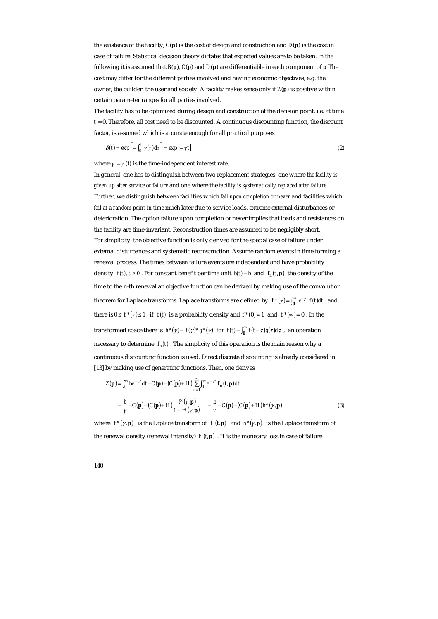the existence of the facility, *C*(**p**) is the cost of design and construction and *D*(**p**) is the cost in case of failure. Statistical decision theory dictates that expected values are to be taken. In the following it is assumed that *B*(**p**), *C*(**p**) and *D*(**p**) are differentiable in each component of **p** The cost may differ for the different parties involved and having economic objectives, e.g. the owner, the builder, the user and society. A facility makes sense only if *Z*(**p**) is positive within certain parameter ranges for all parties involved.

The facility has to be optimized during design and construction at the decision point, i.e. at time  $t = 0$ . Therefore, all cost need to be discounted. A continuous discounting function, the discount factor, is assumed which is accurate enough for all practical purposes

$$
\delta(t) = \exp\left[-\int_0^t \gamma(\tau) d\tau\right] = \exp\left[-\gamma t\right] \tag{2}
$$

where  $\gamma = \gamma$  *(t)* is the time-independent interest rate.

In general, one has to distinguish between two replacement strategies, one where *the facility is given up after service or failure* and one where the *facility is systematically replaced after failure*. Further, we distinguish between facilities which *fail upon completion or never* and facilities which *fail at a random point in time* much later due to service loads, extreme external disturbances or deterioration. The option failure upon completion or never implies that loads and resistances on the facility are time-invariant. Reconstruction times are assumed to be negligibly short. For simplicity, the objective function is only derived for the special case of failure under external disturbances and systematic reconstruction. Assume random events in time forming a renewal process. The times between failure events are independent and have probability density  $f(t)$ ,  $t \ge 0$ . For constant benefit per time unit  $b(t) = b$  and  $f_n(t, \mathbf{p})$  the density of the time to the n-th renewal an objective function can be derived by making use of the convolution theorem for Laplace transforms. Laplace transforms are defined by  $f^*(\gamma) = \int_0^\infty e^{-\gamma t} f(t) dt$  and there is  $0 \le f^*(y) \le 1$  if  $f(t)$  is a probability density and  $f^*(0) = 1$  and  $f^*(\infty) = 0$ . In the transformed space there is  $h^*(\gamma) = f(\gamma)^* g^*(\gamma)$  for  $h(t) = \int_0^\infty f(t-\tau) g(\tau) d\tau$ , an operation necessary to determine  $f_n(t)$ . The simplicity of this operation is the main reason why a continuous discounting function is used. Direct discrete discounting is already considered in [13] by making use of generating functions. Then, one derives

$$
Z(\mathbf{p}) = \int_0^\infty be^{-\gamma t} dt - C(\mathbf{p}) - (C(\mathbf{p}) + H) \sum_{n=1}^\infty \int_0^\infty e^{-\gamma t} f_n(t, \mathbf{p}) dt
$$
  
=  $\frac{b}{\gamma} - C(\mathbf{p}) - (C(\mathbf{p}) + H) \frac{f^*(\gamma, \mathbf{p})}{1 - f^*(\gamma, \mathbf{p})} = \frac{b}{\gamma} - C(\mathbf{p}) - (C(\mathbf{p}) + H)h^*(\gamma, \mathbf{p})$  (3)

where  $f^*(\gamma, \mathbf{p})$  is the Laplace transform of  $f(\mathbf{r}, \mathbf{p})$  and  $h^*(\gamma, \mathbf{p})$  is the Laplace transform of the renewal density (renewal intensity)  $h(t, \mathbf{p})$ . *H* is the monetary loss in case of failure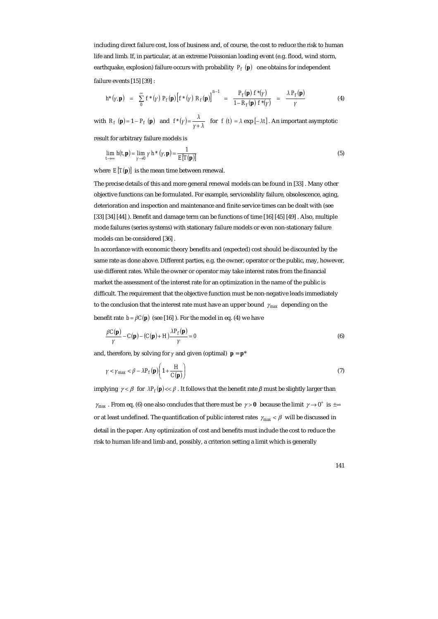including direct failure cost, loss of business and, of course, the cost to reduce the risk to human life and limb. If, in particular, at an extreme Poissonian loading event (e.g. flood, wind storm, earthquake, explosion) failure occurs with probability  $P_f(\mathbf{p})$  one obtains for independent failure events [15] [39] :

$$
h^*(\gamma, \mathbf{p}) = \sum_{\mathbf{p}}^{\infty} f^*(\gamma) P_f(\mathbf{p}) \Big[ f^*(\gamma) R_f(\mathbf{p}) \Big]^{n-1} = \frac{P_f(\mathbf{p}) f^*(\gamma)}{1 - R_f(\mathbf{p}) f^*(\gamma)} = \frac{\lambda P_f(\mathbf{p})}{\gamma}
$$
(4)

with  $R_f(\mathbf{p}) = 1 - P_f(\mathbf{p})$  and  $f^*(\gamma) = \frac{\lambda}{\gamma + \lambda}$  for  $f(t) = \lambda \exp[-\lambda t]$ . An important asymptotic

result for arbitrary failure models is

$$
\lim_{t \to \infty} h(t, \mathbf{p}) = \lim_{\gamma \to 0} \gamma h^*(\gamma, \mathbf{p}) = \frac{1}{E[T(\mathbf{p})]}
$$
(5)

where  $E[T(\mathbf{p})]$  is the mean time between renewal.

The precise details of this and more general renewal models can be found in [33] . Many other objective functions can be formulated. For example, serviceability failure, obsolescence, aging, deterioration and inspection and maintenance and finite service times can be dealt with (see [33] [34] [44] ). Benefit and damage term can be functions of time [16] [45] [49] . Also, multiple mode failures (series systems) with stationary failure models or even non-stationary failure models can be considered [36] .

In accordance with economic theory benefits and (expected) cost should be discounted by the same rate as done above. Different parties, e.g. the owner, operator or the public, may, however, use different rates. While the owner or operator may take interest rates from the financial market the assessment of the interest rate for an optimization in the name of the public is difficult. The requirement that the objective function must be non-negative leads immediately to the conclusion that the interest rate must have an upper bound  $\gamma_{\text{max}}$  depending on the benefit rate  $b = \beta C(\mathbf{p})$  (see [16]). For the model in eq. (4) we have

$$
\frac{\beta C(\mathbf{p})}{\gamma} - C(\mathbf{p}) - (C(\mathbf{p}) + H) \frac{\lambda P_f(\mathbf{p})}{\gamma} = 0
$$
\n(6)

and, therefore, by solving for  $\gamma$  and given (optimal)  $\mathbf{p} = \mathbf{p}^*$ 

$$
\gamma < \gamma_{\text{max}} < \beta - \lambda P_f(\mathbf{p}) \left( 1 + \frac{H}{C(\mathbf{p})} \right) \tag{7}
$$

implying  $\gamma < \beta$  for  $\lambda P_f(\mathbf{p}) \ll \beta$ . It follows that the benefit rate  $\beta$  must be slightly larger than

 $\gamma_{\text{max}}$ . From eq. (6) one also concludes that there must be  $\gamma > 0$  because the limit  $\gamma \to 0^+$  is  $\pm \infty$ or at least undefined. The quantification of public interest rates  $\gamma_{max} < \beta$  will be discussed in detail in the paper. Any optimization of cost and benefits must include the cost to reduce the risk to human life and limb and, possibly, a criterion setting a limit which is generally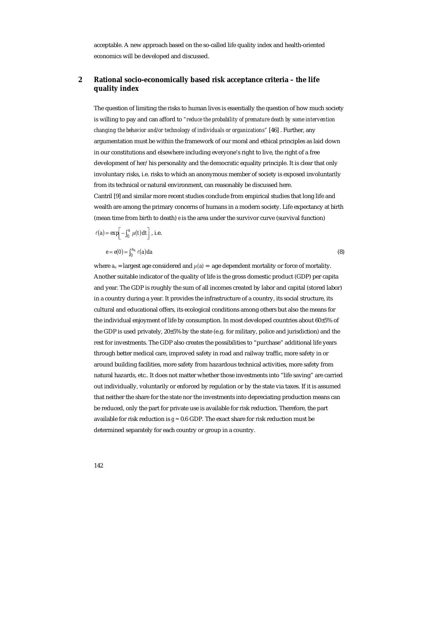acceptable. A new approach based on the so-called life quality index and health-oriented economics will be developed and discussed.

## **2 Rational socio-economically based risk acceptance criteria – the life quality index**

The question of limiting the risks to human lives is essentially the question of how much society is willing to pay and can afford to *"reduce the probability of premature death by some intervention changing the behavior and/or technology of individuals or organizations"* [46] . Further, any argumentation must be within the framework of our moral and ethical principles as laid down in our constitutions and elsewhere including everyone's right to live, the right of a free development of her/his personality and the democratic equality principle. It is clear that only involuntary risks, i.e. risks to which an anonymous member of society is exposed involuntarily from its technical or natural environment, can reasonably be discussed here. Cantril [9] and similar more recent studies conclude from empirical studies that long life and wealth are among the primary concerns of humans in a modern society. Life expectancy at birth (mean time from birth to death) *e* is the area under the survivor curve (survival function)

$$
\ell(a) = \exp\left[-\int_0^a \mu(t) dt\right], \text{ i.e.}
$$

$$
e = e(0) = \int_0^{a_u} \ell(a) da \tag{8}
$$

where  $a_u$  = largest age considered and  $\mu(a)$  = age dependent mortality or force of mortality. Another suitable indicator of the quality of life is the gross domestic product (GDP) per capita and year. The GDP is roughly the sum of all incomes created by labor and capital (stored labor) in a country during a year. It provides the infrastructure of a country, its social structure, its cultural and educational offers, its ecological conditions among others but also the means for the individual enjoyment of life by consumption. In most developed countries about 60±5% of the GDP is used privately, 20±5% by the state (e.g. for military, police and jurisdiction) and the rest for investments. The GDP also creates the possibilities to "purchase" additional life years through better medical care, improved safety in road and railway traffic, more safety in or around building facilities, more safety from hazardous technical activities, more safety from natural hazards, etc.. It does not matter whether those investments into "life saving" are carried out individually, voluntarily or enforced by regulation or by the state via taxes. If it is assumed that neither the share for the state nor the investments into depreciating production means can be reduced, only the part for private use is available for risk reduction. Therefore, the part available for risk reduction is  $g \approx 0.6$  GDP. The exact share for risk reduction must be determined separately for each country or group in a country.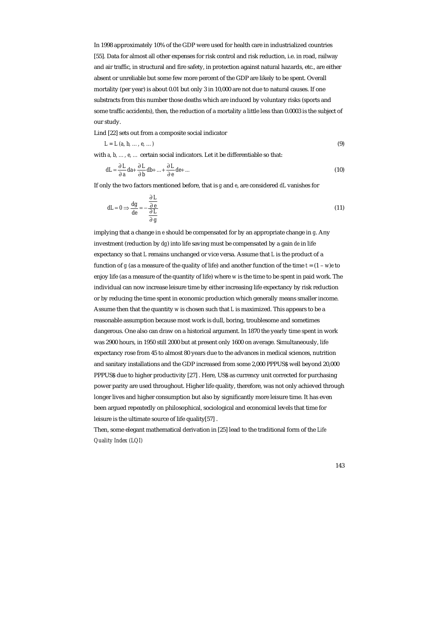In 1998 approximately 10% of the GDP were used for health care in industrialized countries [55]. Data for almost all other expenses for risk control and risk reduction, i.e. in road, railway and air traffic, in structural and fire safety, in protection against natural hazards, etc., are either absent or unreliable but some few more percent of the GDP are likely to be spent. Overall mortality (per year) is about 0.01 but only 3 in 10,000 are not due to natural causes. If one substracts from this number those deaths which are induced by voluntary risks (sports and some traffic accidents), then, the reduction of a mortality a little less than 0.0003 is the subject of our study.

Lind [22] sets out from a composite social indicator

$$
L = L \ (a, \ b, \ \ldots, \ e, \ \ldots) \tag{9}
$$

with *a*, *b*, ..., *e*, ... certain social indicators. Let it be differentiable so that:

$$
dL = \frac{\partial L}{\partial a} da + \frac{\partial L}{\partial b} db + ... + \frac{\partial L}{\partial e} de + ... \tag{10}
$$

If only the two factors mentioned before, that is *g* and *e*, are considered *dL* vanishes for

$$
dL = 0 \Rightarrow \frac{dg}{de} = -\frac{\frac{\partial L}{\partial e}}{\frac{\partial L}{\partial g}}
$$
(11)

implying that a change in *e* should be compensated for by an appropriate change in *g*. Any investment (reduction by *dg*) into life saving must be compensated by a gain *de* in life expectancy so that *L* remains unchanged or vice versa. Assume that *L* is the product of a function of *g* (as a measure of the quality of life) and another function of the time  $t = (1 - w)e$  to enjoy life (as a measure of the quantity of life) where *w* is the time to be spent in paid work. The individual can now increase leisure time by either increasing life expectancy by risk reduction or by reducing the time spent in economic production which generally means smaller income. Assume then that the quantity *w* is chosen such that *L* is maximized. This appears to be a reasonable assumption because most work is dull, boring, troublesome and sometimes dangerous. One also can draw on a historical argument. In 1870 the yearly time spent in work was 2900 hours, in 1950 still 2000 but at present only 1600 on average. Simultaneously, life expectancy rose from 45 to almost 80 years due to the advances in medical sciences, nutrition and sanitary installations and the GDP increased from some 2,000 PPPUS\$ well beyond 20,000 PPPUS\$ due to higher productivity [27] . Here, US\$ as currency unit corrected for purchasing power parity are used throughout. Higher life quality, therefore, was not only achieved through longer lives and higher consumption but also by significantly more leisure time. It has even been argued repeatedly on philosophical, sociological and economical levels that time for leisure is the ultimate source of life quality[57] .

Then, some elegant mathematical derivation in [25] lead to the traditional form of the *Life Quality Index (LQI)*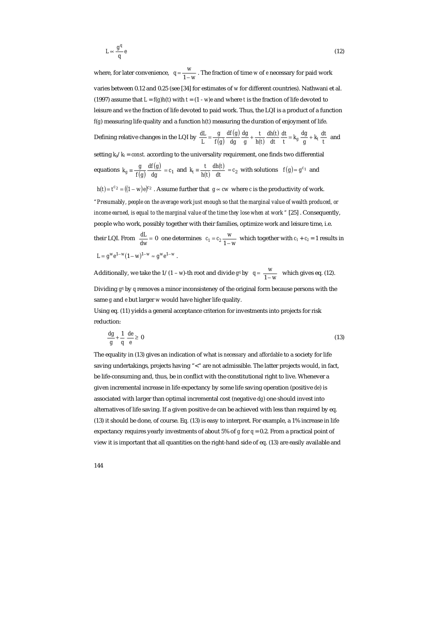$$
L \propto \frac{g^q}{q} e \tag{12}
$$

where, for later convenience,  $q = \frac{w}{1 - w}$ . The fraction of time *w* of *e* necessary for paid work varies between 0.12 and 0.25 (see [34] for estimates of *w* for different countries). Nathwani et al. (1997) assume that  $L = f(g)h(t)$  with  $t = (1 - w)e$  and where *t* is the fraction of life devoted to leisure and *we* the fraction of life devoted to paid work. Thus, the LQI is a product of a function *f*(*g*) measuring life quality and a function *h*(*t*) measuring the duration of enjoyment of life.

Defining relative changes in the LQI by  $\frac{dL}{L} = \frac{g}{f(g)} \frac{df(g)}{dg}$  $(t)$  $(t)$  $\frac{dt}{t} = k_g \frac{dg}{g} + k_t \frac{dt}{t}$ *dt dt dh t h t t g dg dg df g f g g*  $\frac{dL}{L} = \frac{g}{f(g)} \frac{df(g)}{dg} \frac{dg}{g} + \frac{t}{h(t)} \frac{dh(t)}{dt} \frac{dt}{t} = k_g \frac{dg}{g} + k_t \frac{dt}{t}$  and

setting  $k_g/k_t = const.$  according to the universality requirement, one finds two differential

equations 
$$
k_g \equiv \frac{g}{f(g)} \frac{df(g)}{dg} = c_1
$$
 and  $k_t \equiv \frac{t}{h(t)} \frac{dh(t)}{dt} = c_2$  with solutions  $f(g) = g^{c_1}$  and

 $h(t) = t^{c_2} = ((1 - w)e)^{c_2}$ . Assume further that  $g \propto cw$  where *c* is the productivity of work.

*"Presumably, people on the average work just enough so that the marginal value of wealth produced, or income earned, is equal to the marginal value of the time they lose when at work "* [25] . Consequently, people who work, possibly together with their families, optimize work and leisure time, i.e. their LQI. From  $\frac{dL}{dw} = 0$  one determines  $c_1 = c_2 \frac{w}{1 - w}$  which together with  $c_1 + c_2 = 1$  results in  $L = g^w e^{1 - w} (1 - w)^{1 - w} \approx g^w e^{1 - w}$ .

Additionally, we take the  $1/(1 - w)$ -th root and divide  $g<sup>q</sup>$  by  $q = \frac{w}{1 - w}$  which gives eq. (12). Dividing *gq* by *q* removes a minor inconsisteney of the original form because persons with the

same *g* and *e* but larger *w* would have higher life quality.

Using eq. (11) yields a general acceptance criterion for investments into projects for risk reduction:

$$
\frac{dg}{g} + \frac{1}{q} \frac{de}{e} \ge 0
$$
\n(13)

The equality in (13) gives an indication of what is *necessary* and *affordable* to a society for life saving undertakings, projects having "<" are not admissible. The latter projects would, in fact, be life-consuming and, thus, be in conflict with the constitutional right to live. Whenever a given incremental increase in life expectancy by some life saving operation (positive *de*) is associated with larger than optimal incremental cost (negative *dg*) one should invest into alternatives of life saving. If a given positive *de* can be achieved with less than required by eq. (13) it should be done, of course. Eq. (13) is easy to interpret. For example, a 1% increase in life expectancy requires yearly investments of about 5% of  $g$  for  $q = 0.2$ . From a practical point of view it is important that all quantities on the right-hand side of eq. (13) are easily available and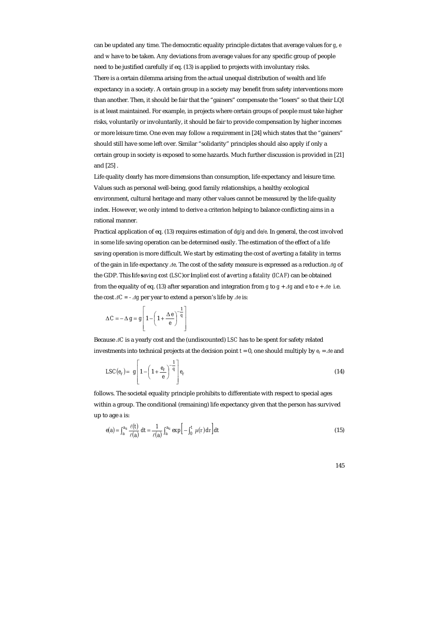can be updated any time. The democratic equality principle dictates that average values for *g*, *e* and *w* have to be taken. Any deviations from average values for any specific group of people need to be justified carefully if eq. (13) is applied to projects with involuntary risks. There is a certain dilemma arising from the actual unequal distribution of wealth and life expectancy in a society. A certain group in a society may benefit from safety interventions more than another. Then, it should be fair that the "gainers" compensate the "losers" so that their LQI is at least maintained. For example, in projects where certain groups of people must take higher risks, voluntarily or involuntarily, it should be fair to provide compensation by higher incomes or more leisure time. One even may follow a requirement in [24] which states that the "gainers" should still have some left over. Similar "solidarity" principles should also apply if only a certain group in society is exposed to some hazards. Much further discussion is provided in [21] and [25] .

Life quality clearly has more dimensions than consumption, life expectancy and leisure time. Values such as personal well-being, good family relationships, a healthy ecological environment, cultural heritage and many other values cannot be measured by the life quality index. However, we only intend to derive a criterion helping to balance conflicting aims in a rational manner.

Practical application of eq. (13) requires estimation of *dg/g* and *de/e*. In general, the cost involved in some life saving operation can be determined easily. The estimation of the effect of a life saving operation is more difficult. We start by estimating the cost of averting a fatality in terms of the gain in life expectancy *∆e*. The cost of the safety measure is expressed as a reduction *∆g* of the GDP. This *life saving cost* (*LSC*)or *implied cost of averting a fatality* (*ICAF*) can be obtained from the equality of eq. (13) after separation and integration from *g* to  $g + \Delta g$  and *e* to  $e + \Delta e$  i.e. the cost *∆C = - ∆g* per year to extend a person's life by *∆e* is:

$$
\Delta C = -\Delta g = g \left[ 1 - \left( 1 + \frac{\Delta e}{e} \right)^{-\frac{1}{q}} \right]
$$

Because *∆C* is a yearly cost and the (undiscounted) *LSC* has to be spent for safety related investments into technical projects at the decision point  $t = 0$ , one should multiply by  $e_r = Ae$  and

$$
LSC(e_r) = g \left[ 1 - \left( 1 + \frac{e_r}{e} \right)^{-\frac{1}{q}} \right] e_r \tag{14}
$$

follows. The societal equality principle prohibits to differentiate with respect to special ages within a group. The conditional (remaining) life expectancy given that the person has survived up to age *a* is:

$$
e(a) = \int_{a}^{a_u} \frac{\ell(t)}{\ell(a)} dt = \frac{1}{\ell(a)} \int_{a}^{a_u} exp\left[-\int_{0}^{t} \mu(\tau) d\tau\right] dt
$$
 (15)

145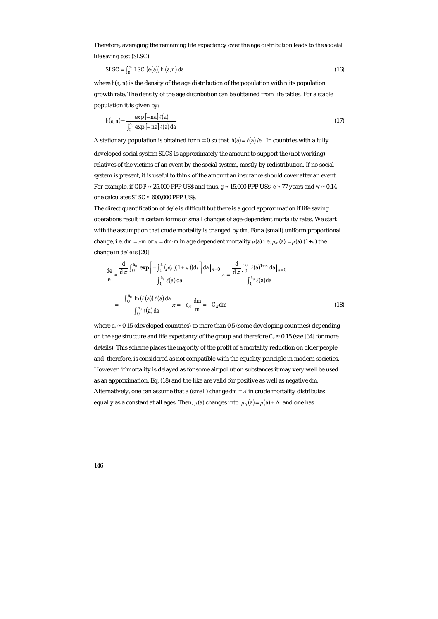Therefore, averaging the remaining life expectancy over the age distribution leads to the *societal life saving cost* (*SLSC*)

$$
S LSC = \int_0^{a_u} LSC\left(e(a)\right)h\left(a, n\right)da\tag{16}
$$

where *h*(*a*, *n*) is the density of the age distribution of the population with *n* its population growth rate. The density of the age distribution can be obtained from life tables. For a stable population it is given by:

$$
h(a,n) = \frac{\exp\left[-\left|na\right| \ell(a)}{\int_0^{a_u} \exp\left[-\left|na\right| \ell(a)\right) da} \tag{17}
$$

A stationary population is obtained for  $n = 0$  so that  $h(a) = \ell(a) / e$ . In countries with a fully developed social system *SLCS* is approximately the amount to support the (not working) relatives of the victims of an event by the social system, mostly by redistribution. If no social system is present, it is useful to think of the amount an insurance should cover after an event. For example, if *GDP* ≈ 25,000 PPP US\$ and thus, *g* ≈ 15,000 PPP US\$, *e* ≈ 77 years and *w* ≈ 0.14 one calculates *SLSC* ≈ 600,000 PPP US\$.

The direct quantification of *de*/*e* is difficult but there is a good approximation if life saving operations result in certain forms of small changes of age-dependent mortality rates. We start with the assumption that crude mortality is changed by *dm*. For a (small) uniform proportional change, i.e.  $dm = \pi m$  or  $\pi = dm - m$  in age dependent mortality  $\mu(a)$  i.e.  $\mu_{\pi}(a) = \mu(a) (1+\pi)$  the change in *de*/*e* is [20]

$$
\frac{de}{e} \approx \frac{\frac{d}{d\pi} \int_0^{a_u} \exp\left[-\int_0^a (\mu(\tau)(1+\pi)) d\tau\right] da|_{\pi=0}}{\int_0^{a_u} \ell(a) da} \pi = \frac{\frac{d}{d\pi} \int_0^{a_u} \ell(a)^{1+\pi} da|_{\pi=0}}{\int_0^{a_u} \ell(a) da}
$$

$$
= -\frac{\int_0^{a_u} \ln(\ell(a)) \ell(a) da}{\int_0^{a_u} \ell(a) da} \pi = -c_\pi \frac{dm}{m} = -C_\pi dm \tag{18}
$$

where  $c<sub>\pi</sub>$   $\approx$  0.15 (developed countries) to more than 0.5 (some developing countries) depending on the age structure and life expectancy of the group and therefore  $C<sub>\pi</sub> \approx 0.15$  (see [34] for more details). This scheme places the majority of the profit of a mortality reduction on older people and, therefore, is considered as not compatible with the equality principle in modern societies. However, if mortality is delayed as for some air pollution substances it may very well be used as an approximation. Eq. (18) and the like are valid for positive as well as negative *dm*. Alternatively, one can assume that a (small) change *dm = ∆* in crude mortality distributes equally as a constant at all ages. Then,  $\mu$ (*a*) changes into  $\mu$ <sub>∆</sub>(*a*) =  $\mu$ (*a*) + ∆ and one has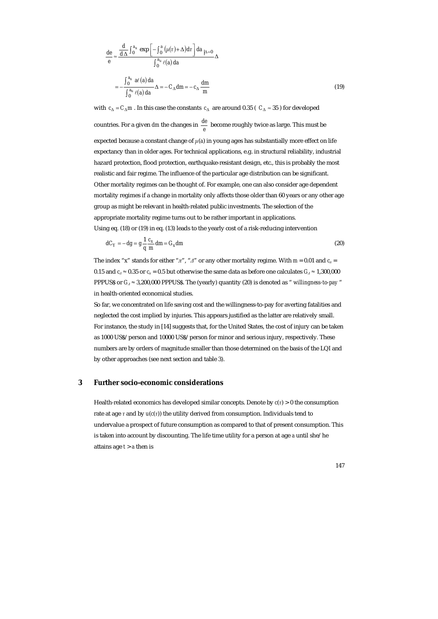$$
\frac{de}{e} \approx \frac{\frac{d}{d\Delta} \int_0^{a_u} \exp\left[-\int_0^a (\mu(\tau) + \Delta) d\tau\right] da_{|\Delta=0}}{\int_0^{a_u} \ell(a) da} \Delta
$$

$$
= -\frac{\int_0^{a_u} a\ell(a) da}{\int_0^{a_u} \ell(a) da} \Delta = -C_\Delta dm = -c_\Delta \frac{dm}{m}
$$
(19)

with  $c_{\Delta} = C_{\Delta} m$ . In this case the constants  $c_{\Delta}$  are around 0.35 ( $C_{\Delta} \approx 35$ ) for developed countries. For a given *dm* the changes in  $\frac{de}{e}$  become roughly twice as large. This must be expected because a constant change of  $\mu$ (*a*) in young ages has substantially more effect on life expectancy than in older ages. For technical applications, e.g. in structural reliability, industrial hazard protection, flood protection, earthquake-resistant design, etc., this is probably the most realistic and fair regime. The influence of the particular age distribution can be significant. Other mortality regimes can be thought of. For example, one can also consider age dependent mortality regimes if a change in mortality only affects those older than 60 years or any other age group as might be relevant in health-related public investments. The selection of the appropriate mortality regime turns out to be rather important in applications. Using eq. (18) or (19) in eq. (13) leads to the yearly cost of a risk-reducing intervention

$$
dC_Y = -dg = g\frac{1}{q}\frac{c_x}{m}dm = G_x dm
$$
\n(20)

The index "x" stands for either " $\pi$ ", " $\Delta$ " or any other mortality regime. With  $m = 0.01$  and  $c_{\pi} =$ 0.15 and  $c_4 \approx 0.35$  or  $c_\pi = 0.5$  but otherwise the same data as before one calculates  $G_4 \approx 1,300,000$ PPPUS\$ or *G<sup>∆</sup>* ≈ 3,200,000 PPPUS\$. The (yearly) quantity (20) is denoted as " *willingness-to-pay* " in health-oriented economical studies.

So far, we concentrated on life saving cost and the willingness-to-pay for averting fatalities and neglected the cost implied by injuries. This appears justified as the latter are relatively small. For instance, the study in [14] suggests that, for the United States, the cost of injury can be taken as 1000 US\$/person and 10000 US\$/person for minor and serious injury, respectively. These numbers are by orders of magnitude smaller than those determined on the basis of the LQI and by other approaches (see next section and table 3).

## **3 Further socio-economic considerations**

Health-related economics has developed similar concepts. Denote by  $c(\tau) > 0$  the consumption rate at age  $\tau$  and by  $u(c(\tau))$  the utility derived from consumption. Individuals tend to undervalue a prospect of future consumption as compared to that of present consumption. This is taken into account by discounting. The life time utility for a person at age *a* until she/he attains age *t* > *a* then is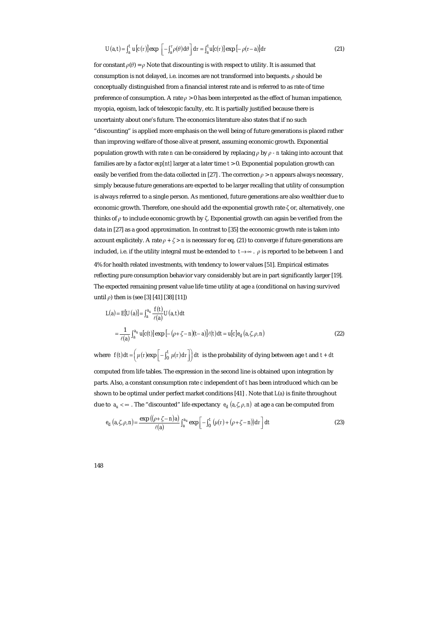$$
U(a,t) = \int_{a}^{t} u[c(\tau)] \exp\left[-\int_{a}^{\tau} \rho(\theta) d\theta\right] d\tau = \int_{a}^{t} u[c(\tau)] \exp\left[-\rho(\tau - a)\right] d\tau \tag{21}
$$

for constant  $\rho(\theta) = \rho$  Note that discounting is with respect to utility. It is assumed that consumption is not delayed, i.e. incomes are not transformed into bequests. *ρ* should be conceptually distinguished from a financial interest rate and is referred to as rate of time preference of consumption. A rate  $\rho > 0$  has been interpreted as the effect of human impatience, myopia, egoism, lack of telescopic faculty, etc. It is partially justified because there is uncertainty about one's future. The economics literature also states that if no such "discounting" is applied more emphasis on the well being of future generations is placed rather than improving welfare of those alive at present, assuming economic growth. Exponential population growth with rate *n* can be considered by replacing *ρ* by *ρ - n* taking into account that families are by a factor *exp[nt]* larger at a later time *t* > 0. Exponential population growth can easily be verified from the data collected in [27] . The correction  $\rho > n$  appears always necessary, simply because future generations are expected to be larger recalling that utility of consumption is always referred to a single person. As mentioned, future generations are also wealthier due to economic growth. Therefore, one should add the exponential growth rate  $\zeta$  or, alternatively, one thinks of *ρ* to include economic growth by ζ. Exponential growth can again be verified from the data in [27] as a good approximation. In contrast to [35] the economic growth rate is taken into account explicitely. A rate  $\rho$  +  $\zeta$  > *n* is necessary for eq. (21) to converge if future generations are included, i.e. if the utility integral must be extended to  $t\rightarrow\infty$ .  $\rho$  is reported to be between 1 and 4% for health related investments, with tendency to lower values [51]. Empirical estimates reflecting pure consumption behavior vary considerably but are in part significantly larger [19]. The expected remaining present value life time utility at age *a* (conditional on having survived until *ρ*) then is (see [3] [41] [38] [11])

$$
L(a) = E[U(a)] = \int_{a}^{a_u} \frac{f(t)}{\ell(a)} U(a, t) dt
$$
  
= 
$$
\frac{1}{\ell(a)} \int_{a}^{a_u} u[c(t)] \exp[-(\rho + \zeta - n)(t - a)] \ell(t) dt = u[c] e_d(a, \zeta, \rho, n)
$$
 (22)

where  $f(t)dt = \left(\mu(\tau) \exp\left[-\int_0^t \mu(\tau) d\tau\right]\right) dt$  is the probability of dying between age *t* and  $t + dt$ computed from life tables. The expression in the second line is obtained upon integration by

parts. Also, a constant consumption rate *c* independent of *t* has been introduced which can be shown to be optimal under perfect market conditions [41] . Note that *L*(*a*) is finite throughout due to  $a_u < \infty$ . The "discounted" life expectancy  $e_d$   $(a, \zeta, \rho, n)$  at age *a* can be computed from

$$
e_d\left(a,\zeta,\rho,n\right) = \frac{\exp\left((\rho+\zeta-n)a\right)}{\ell(a)}\int_a^{a_u} \exp\left[-\int_0^t \left(\mu(\tau)+(\rho+\zeta-n)\right)d\tau\right]dt\tag{23}
$$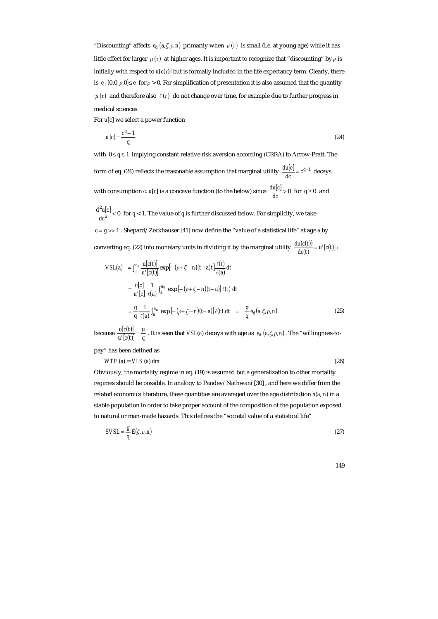"Discounting" affects  $e_d$   $(a,\zeta,\rho,n)$  primarily when  $\mu(\tau)$  is small (i.e. at young age) while it has little effect for larger  $\mu(\tau)$  at higher ages. It is important to recognize that "discounting" by  $\rho$  is initially with respect to *u*[*c*(*τ*)] but is formally included in the life expectancy term. Clearly, there is  $e_d (0,0,\rho,0) \leq e$  for  $\rho > 0$ . For simplification of presentation it is also assumed that the quantity  $\mu(\tau)$  and therefore also  $\ell(\tau)$  do not change over time, for example due to further progress in medical sciences.

For *u*[*c*] we select a power function

$$
u[c] = \frac{c^q - 1}{q} \tag{24}
$$

with 0 ≤ *q* ≤ 1 implying constant relative risk aversion according (CRRA) to Arrow-Pratt. The form of eq. (24) reflects the reasonable assumption that marginal utility  $\frac{du|c|}{dc} = c^{q-1}$  decays with consumption *c*. *u*[*c*] is a concave function (to the below) since  $\frac{du[c]}{dc} > 0$  for  $q \ge 0$  and

 $\frac{d^2u[c]}{dc^2}$  < 0 for *q* < 1. The value of *q* is further discussed below. For simplicity, we take *c* = *g* >> 1 . Shepard/Zeckhauser [41] now define the "value of a statistical life" at age *a* by converting eq. (22) into monetary units in dividing it by the marginal utility  $\frac{du(c(t))}{dc(t)} = u'[c(t)]$ :

$$
VSL(a) = \int_{a}^{a_u} \frac{u[c(t)]}{u'[c(t)]} \exp[-(\rho + \zeta - n)(t - a)t] \frac{\ell(t)}{\ell(a)} dt
$$
  
\n
$$
= \frac{u[c]}{u'[c]} \frac{1}{\ell(a)} \int_{a}^{a_u} \exp[-(\rho + \zeta - n)(t - a)] \ell(t) dt
$$
  
\n
$$
= \frac{g}{q} \frac{1}{\ell(a)} \int_{a}^{a_u} \exp[-(\rho + \zeta - n)(t - a)] \ell(t) dt = \frac{g}{q} e_d(a, \zeta, \rho, n)
$$
(25)

because  $\frac{u[c(t)]}{u'[c(t)]} = \frac{g}{q}$ *g*  $\frac{u(c(t))}{u'(c(t))} = \frac{g}{q}$ . It is seen that *VSL*(*a*) decays with age as  $e_d$  (*a,ζ*, *ρ*,*n*). The "willingness-to-

pay" has been defined as

 $WTP(a) = VLS(a) dm$  (26)

Obviously, the mortality regime in eq. (19) is assumed but a generalization to other mortality regimes should be possible. In analogy to Pandey/Nathwani [30] , and here we differ from the related economics literature, these quantities are averaged over the age distribution *h*(*a*, *n*) in a stable population in order to take proper account of the composition of the population exposed to natural or man-made hazards. This defines the "societal value of a statistical life"

$$
\overline{SVSL} = \frac{g}{q} \overline{E}(\zeta, \rho, n) \tag{27}
$$

| ÷ | ۰. |
|---|----|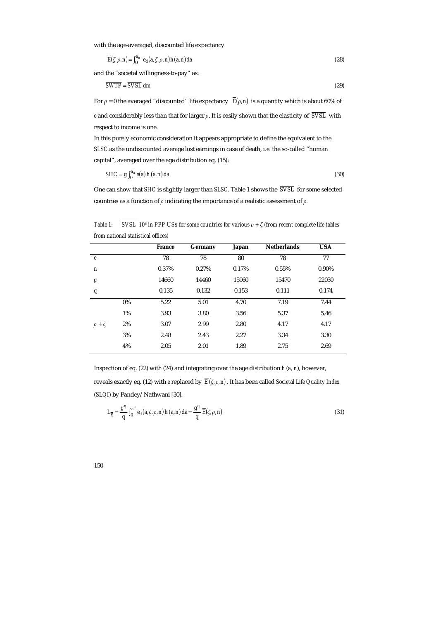with the age-averaged, discounted life expectancy

$$
\overline{E}(\zeta,\rho,n) = \int_0^{a_u} e_d(a,\zeta,\rho,n)h(a,n)da
$$
\n(28)

and the "societal willingness-to-pay" as:

$$
\overline{SWTP} = \overline{SVSL} \ dm \tag{29}
$$

For  $\rho = 0$  the averaged "discounted" life expectancy  $\overline{E}(\rho, n)$  is a quantity which is about 60% of *e* and considerably less than that for larger *ρ*. It is easily shown that the elasticity of *SVSL* with respect to income is one.

In this purely economic consideration it appears appropriate to define the equivalent to the *SLSC* as the undiscounted average lost earnings in case of death, i.e. the so-called "human capital", averaged over the age distribution eq. (15):

$$
SHC = g \int_0^{a_u} e(a) h(a, n) da
$$
 (30)

One can show that *SHC* is slightly larger than *SLSC*. Table 1 shows the *SVSL* for some selected countries as a function of *ρ* indicating the importance of a realistic assessment of *ρ.* 

*Table 1:*  $\overline{SVSL}$  10<sup>6</sup> in PPP US\$ for some countries for various  $\rho + \zeta$  (from recent complete life tables *from national statistical offices)* 

|    | 78    |       |       |       |       |
|----|-------|-------|-------|-------|-------|
|    |       | 78    | 80    | 78    | 77    |
|    | 0.37% | 0.27% | 0.17% | 0.55% | 0.90% |
|    | 14660 | 14460 | 15960 | 15470 | 22030 |
|    | 0.135 | 0.132 | 0.153 | 0.111 | 0.174 |
| 0% | 5.22  | 5.01  | 4.70  | 7.19  | 7.44  |
| 1% | 3.93  | 3.80  | 3.56  | 5.37  | 5.46  |
| 2% | 3.07  | 2.99  | 2.80  | 4.17  | 4.17  |
| 3% | 2.48  | 2.43  | 2.27  | 3.34  | 3.30  |
| 4% | 2.05  | 2.01  | 1.89  | 2.75  | 2.69  |
|    |       |       |       |       |       |

Inspection of eq. (22) with (24) and integrating over the age distribution *h* (*a*, *n*), however, reveals exactly eq. (12) with *e* replaced by  $\overline{E}(\zeta,\rho,n)$ . It has been called *Societal Life Quality Index* (*SLQI*) by Pandey/Nathwani [30].

$$
L_{\overline{E}} = \frac{g^q}{q} \int_0^{a^u} e_d(a, \zeta, \rho, n) h(a, n) da = \frac{g^q}{q} \overline{E}(\zeta, \rho, n)
$$
(31)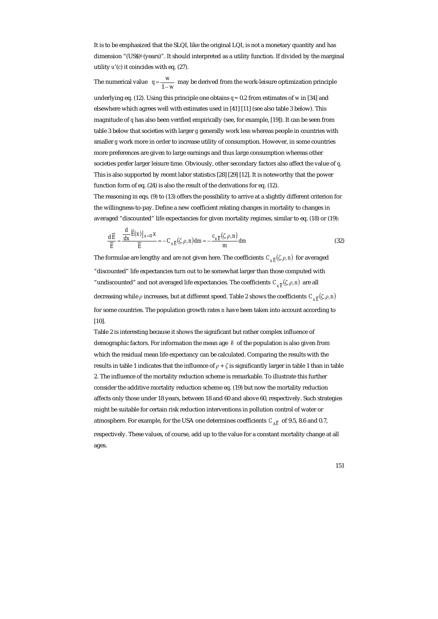It is to be emphasized that the SLQI, like the original LQI, is not a monetary quantity and has dimension "(US\$)*q* (years)". It should interpreted as a utility function. If divided by the marginal utility *u*'(*c*) it coincides with eq. (27).

The numerical value  $q = \frac{w}{1 - w}$  may be derived from the work-leisure optimization principle underlying eq. (12). Using this principle one obtains  $q \approx 0.2$  from estimates of *w* in [34] and elsewhere which agrees well with estimates used in [41] [11] (see also table 3 below). This magnitude of *q* has also been verified empirically (see, for example, [19]). It can be seen from table 3 below that societies with larger *g* generally work less whereas people in countries with smaller *g* work more in order to increase utility of consumption. However, in some countries more preferences are given to large earnings and thus large consumption whereas other societies prefer larger leisure time. Obviously, other secondary factors also affect the value of *q*. This is also supported by recent labor statistics [28] [29] [12]. It is noteworthy that the power function form of eq. (24) is also the result of the derivations for eq. (12). The reasoning in eqs. (9) to (13) offers the possibility to arrive at a slightly different criterion for the willingness-to-pay. Define a new coefficient relating changes in mortality to changes in averaged "discounted" life expectancies for given mortality regimes, similar to eq. (18) or (19):

$$
\frac{d\overline{E}}{\overline{E}} \approx \frac{\frac{d}{dx}\overline{E}(x)|_{x=0} x}{\overline{E}} = -C_{x\overline{E}}(\zeta,\rho,n)dm = -\frac{c_{x\overline{E}}(\zeta,\rho,n)}{m} dm \tag{32}
$$

The formulae are lengthy and are not given here. The coefficients  $C_{\nu}$ <sup> $_{\overline{k}}$ ( $\zeta$ *,*  $\rho$ *, n*) for averaged</sup> "discounted" life expectancies turn out to be somewhat larger than those computed with "undiscounted" and not averaged life expectancies. The coefficients  $C_{\mathbf{x} \overline{F}}(\zeta, \rho, n)$  are all decreasing while  $\rho$  increases, but at different speed. Table 2 shows the coefficients  $C_{\mathbf{x}\bar{F}}(\zeta,\rho,\mathbf{n})$ for some countries. The population growth rates *n* have been taken into account according to [10].

Table 2 is interesting because it shows the significant but rather complex influence of demographic factors. For information the mean age *e* of the population is also given from which the residual mean life expectancy can be calculated. Comparing the results with the results in table 1 indicates that the influence of *ρ + ζ* is significantly larger in table 1 than in table 2. The influence of the mortality reduction scheme is remarkable. To illustrate this further consider the additive mortality reduction scheme eq. (19) but now the mortality reduction affects only those under 18 years, between 18 and 60 and above 60, respectively. Such strategies might be suitable for certain risk reduction interventions in pollution control of water or atmosphere. For example, for the USA one determines coefficients  $C_{\Lambda \overline{K}}$  of 9.5, 8.6 and 0.7, respectively. These values, of course, add up to the value for a constant mortality change at all ages.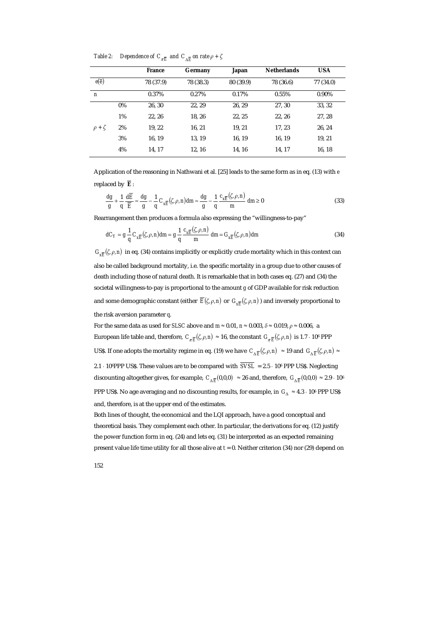*Table 2: Dependence of C*<sub> $\pi \bar{E}$  *and C*<sub> $\Lambda \bar{E}$  *on rate*  $\rho + \zeta$ </sub></sub>

|                   |       | <b>France</b> | Germany   | Japan     | <b>Netherlands</b> | <b>USA</b> |
|-------------------|-------|---------------|-----------|-----------|--------------------|------------|
| $e(\overline{e})$ |       | 78 (37.9)     | 78 (38.3) | 80 (39.9) | 78 (36.6)          | 77 (34.0)  |
| $\boldsymbol{n}$  |       | 0.37%         | 0.27%     | 0.17%     | 0.55%              | 0.90%      |
|                   | $0\%$ | 26, 30        | 22, 29    | 26, 29    | 27, 30             | 33, 32     |
|                   | 1%    | 22, 26        | 18, 26    | 22, 25    | 22, 26             | 27, 28     |
| $\rho + \zeta$    | 2%    | 19, 22        | 16, 21    | 19, 21    | 17, 23             | 26, 24     |
|                   | 3%    | 16, 19        | 13, 19    | 16, 19    | 16, 19             | 19, 21     |
|                   | 4%    | 14, 17        | 12, 16    | 14, 16    | 14, 17             | 16, 18     |

Application of the reasoning in Nathwani et al. [25] leads to the same form as in eq. (13) with *e* replaced by  $\overline{E}$ :

$$
\frac{dg}{g} + \frac{1}{q} \frac{d\overline{E}}{\overline{E}} \approx \frac{dg}{g} - \frac{1}{q} C_{x\overline{E}}(\zeta, \rho, n) dm \approx \frac{dg}{g} - \frac{1}{q} \frac{c_{x\overline{E}}(\zeta, \rho, n)}{m} dm \ge 0
$$
\n(33)

Rearrangement then produces a formula also expressing the "willingness-to-pay"

$$
dC_Y = g \frac{1}{q} C_{x\overline{E}}(\zeta, \rho, n) dm = g \frac{1}{q} \frac{c_{x\overline{E}}(\zeta, \rho, n)}{m} dm = G_{x\overline{E}}(\zeta, \rho, n) dm
$$
\n(34)

 $G_{\overline{xF}}(\zeta,\rho,n)$  in eq. (34) contains implicitly or explicitly crude mortality which in this context can also be called background mortality, i.e. the specific mortality in a group due to other causes of death including those of natural death. It is remarkable that in both cases eq. (27) and (34) the societal willingness-to-pay is proportional to the amount *g* of GDP available for risk reduction and some demographic constant (either  $\overline{E}(\zeta,\rho,n)$  or  $G_{\overline{xF}}(\zeta,\rho,n)$ ) and inversely proportional to the risk aversion parameter *q*.

For the same data as used for *SLSC* above and  $m \approx 0.01$ ,  $n \approx 0.003$ ,  $\delta \approx 0.019$ ,  $\rho \approx 0.006$ , a European life table and, therefore,  $C_{\pi \overline{E}}(\zeta, \rho, n) \approx 16$ , the constant  $G_{\pi \overline{E}}(\zeta, \rho, n)$  is 1.7 · 10<sup>6</sup> PPP US\$. If one adopts the mortality regime in eq. (19) we have  $C_{\Lambda \overline{E}}(\zeta, \rho, n) \approx 19$  and  $G_{\Lambda \overline{E}}(\zeta, \rho, n) \approx$ 

2.1 · 106PPP US\$. These values are to be compared with *SVSL* = 2.5 · 106 PPP US\$. Neglecting discounting altogether gives, for example,  $C_{\Delta \overline{E}}( 0, 0, 0 ) ~\approx 26$  and, therefore,  $G_{\Delta \overline{E}}( 0, 0, 0 ) \approx 2.9 \cdot 10^6$ PPP US\$. No age averaging and no discounting results, for example, in *G*<sub>∆</sub> ≈ 4.3 · 10<sup>6</sup> PPP US\$ and, therefore, is at the upper end of the estimates.

Both lines of thought, the economical and the LQI approach, have a good conceptual and theoretical basis. They complement each other. In particular, the derivations for eq. (12) justify the power function form in eq. (24) and lets eq. (31) be interpreted as an expected remaining present value life time utility for all those alive at *t* = 0. Neither criterion (34) nor (29) depend on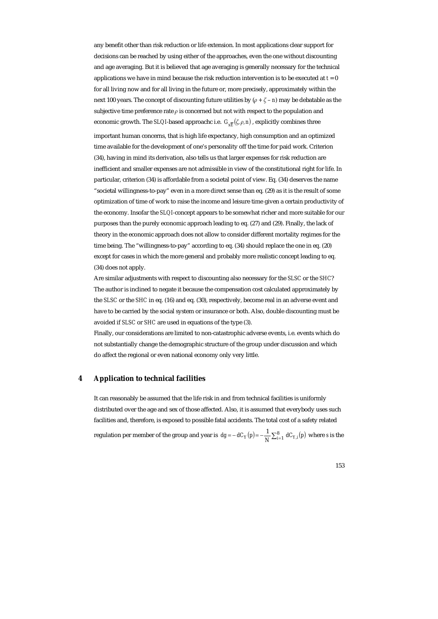any benefit other than risk reduction or life extension. In most applications clear support for decisions can be reached by using either of the approaches, even the one without discounting and age averaging. But it is believed that age averaging is generally necessary for the technical applications we have in mind because the risk reduction intervention is to be executed at  $t = 0$ for all living now and for all living in the future or, more precisely, approximately within the next 100 years. The concept of discounting future utilities by  $(\rho + \zeta - n)$  may be debatable as the subjective time preference rate  $\rho$  is concerned but not with respect to the population and economic growth. The *SLQI*-based approachc i.e.  $G_{\nu \overline{k}}(\zeta, \rho, n)$ , explicitly combines three

important human concerns, that is high life expectancy, high consumption and an optimized time available for the development of one's personality off the time for paid work. Criterion (34), having in mind its derivation, also tells us that larger expenses for risk reduction are inefficient and smaller expenses are not admissible in view of the constitutional right for life. In particular, criterion (34) is affordable from a societal point of view. Eq. (34) deserves the name "societal willingness-to-pay" even in a more direct sense than eq. (29) as it is the result of some optimization of time of work to raise the income and leisure time given a certain productivity of the economy. Insofar the *SLQI*-concept appears to be somewhat richer and more suitable for our purposes than the purely economic approach leading to eq. (27) and (29). Finally, the lack of theory in the economic approach does not allow to consider different mortality regimes for the time being. The "willingness-to-pay" according to eq. (34) should replace the one in eq. (20) except for cases in which the more general and probably more realistic concept leading to eq. (34) does not apply.

Are similar adjustments with respect to discounting also necessary for the *SLSC* or the *SHC*? The author is inclined to negate it because the compensation cost calculated approximately by the *SLSC* or the *SHC* in eq. (16) and eq. (30), respectively, become real in an adverse event and have to be carried by the social system or insurance or both. Also, double discounting must be avoided if *SLSC* or *SHC* are used in equations of the type (3).

Finally, our considerations are limited to non-catastrophic adverse events, i.e. events which do not substantially change the demographic structure of the group under discussion and which do affect the regional or even national economy only very little.

#### **4 Application to technical facilities**

It can reasonably be assumed that the life risk in and from technical facilities is uniformly distributed over the age and sex of those affected. Also, it is assumed that everybody uses such facilities and, therefore, is exposed to possible fatal accidents. The total cost of a safety related regulation per member of the group and year is  $dg = -dC_Y(p) = -\frac{1}{N}\sum_{i=1}^8 dC_{Y,i}(p)$  where *s* is the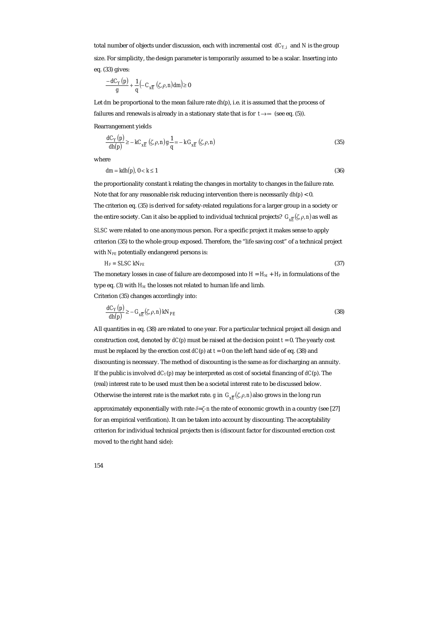total number of objects under discussion, each with incremental cost  $dC_{Y,i}$  and N is the group size. For simplicity, the design parameter is temporarily assumed to be a scalar. Inserting into eq. (33) gives:

$$
\frac{-dC_Y(p)}{g} + \frac{1}{q} \left( -C_{xE} \left( \zeta, \rho, n \right) dm \right) \ge 0
$$

Let *dm* be proportional to the mean failure rate *dh*(*p*), i.e. it is assumed that the process of failures and renewals is already in a stationary state that is for  $t \rightarrow \infty$  (see eq. (5)).

Rearrangement yields

$$
\frac{dC_Y(p)}{dh(p)} \ge -kC_{xE} \left( \zeta, \rho, n \right) g \frac{1}{q} = -k \, G_{xE} \left( \zeta, \rho, n \right) \tag{35}
$$

where

$$
dm = kdh(p), 0 < k \le 1 \tag{36}
$$

the proportionality constant *k* relating the changes in mortality to changes in the failure rate. Note that for any reasonable risk reducing intervention there is necessarily *dh*(*p*) < 0. The criterion eq. (35) is derived for safety-related regulations for a larger group in a society or the entire society. Can it also be applied to individual technical projects?  $G_{\overline{xF}}(\zeta,\rho,n)$  as well as *SLSC* were related to one anonymous person. For a specific project it makes sense to apply criterion (35) to the whole group exposed. Therefore, the "life saving cost" of a technical project

with  $N_{PE}$  potentially endangered persons is:

$$
H_F = S L S C k N_{PE} \tag{37}
$$

The monetary losses in case of failure are decomposed into  $H = H_M + H_F$  in formulations of the type eq. (3) with  $H_M$  the losses not related to human life and limb. Criterion (35) changes accordingly into:

$$
\frac{dC_Y(p)}{dh(p)} \ge -G_{xE}(\zeta,\rho,n)kN_{PE}
$$
\n(38)

All quantities in eq. (38) are related to one year. For a particular technical project all design and construction cost, denoted by  $dC(p)$  must be raised at the decision point  $t = 0$ . The yearly cost must be replaced by the erection cost  $dC(p)$  at  $t = 0$  on the left hand side of eq. (38) and discounting is necessary. The method of discounting is the same as for discharging an annuity. If the public is involved  $dC_Y(p)$  may be interpreted as cost of societal financing of  $dC(p)$ . The (real) interest rate to be used must then be a societal interest rate to be discussed below. Otherwise the interest rate is the market rate. *g* in  $G_{\overline{xF}}(\zeta,\rho,n)$  also grows in the long run

approximately exponentially with rate *δ*=*ζ-n* the rate of economic growth in a country (see [27] for an empirical verification). It can be taken into account by discounting. The acceptability criterion for individual technical projects then is (discount factor for discounted erection cost moved to the right hand side):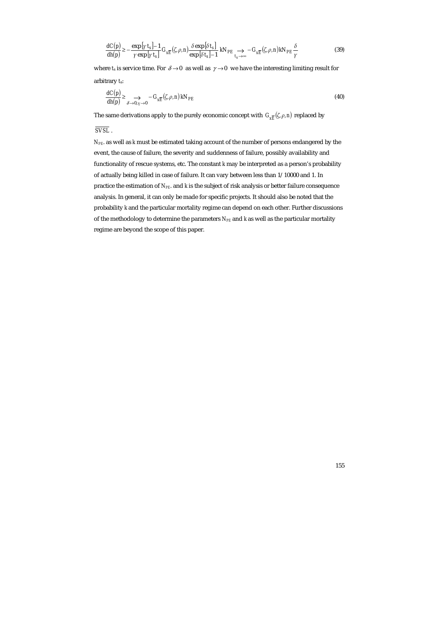$$
\frac{dC(p)}{dh(p)} \ge -\frac{\exp\left[\gamma t_s\right] - 1}{\gamma \exp\left[\gamma t_s\right]} G_{x\overline{E}}(\zeta, \rho, n) \frac{\delta \exp\left[\delta t_s\right]}{\exp\left[\delta t_s\right] - 1} kN_{PE} \underset{t_s \to \infty}{\longrightarrow} -G_{x\overline{E}}(\zeta, \rho, n) kN_{PE} \frac{\delta}{\gamma}
$$
(39)

where *t*<sub>s</sub> is service time. For  $\delta \rightarrow 0$  as well as  $\gamma \rightarrow 0$  we have the interesting limiting result for arbitrary *t*s:

$$
\frac{dC(p)}{dh(p)} \ge \sum_{\delta \to 0, \gamma \to 0} -G_{xE}(\zeta, \rho, n) \, kN_{PE} \tag{40}
$$

The same derivations apply to the purely economic concept with  $G_{\text{xE}}(\zeta,\rho,n)$  replaced by

*SVSL* .

*NPE*. as well as *k* must be estimated taking account of the number of persons endangered by the event, the cause of failure, the severity and suddenness of failure, possibly availability and functionality of rescue systems, etc. The constant *k* may be interpreted as a person's probability of actually being killed in case of failure. It can vary between less than 1/10000 and 1. In practice the estimation of *NPE*. and *k* is the subject of risk analysis or better failure consequence analysis. In general, it can only be made for specific projects. It should also be noted that the probability *k* and the particular mortality regime can depend on each other. Further discussions of the methodology to determine the parameters  $N_{PE}$  and  $k$  as well as the particular mortality regime are beyond the scope of this paper.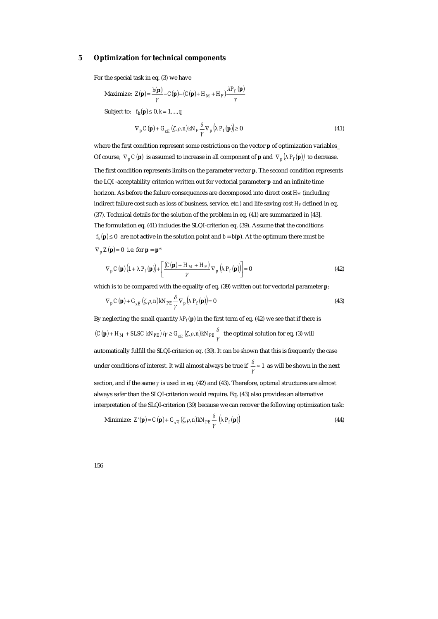#### **5 Optimization for technical components**

For the special task in eq. (3) we have

Maximize:  $Z(\mathbf{p}) = \frac{b(\mathbf{p})}{\gamma} - C(\mathbf{p}) - (C(\mathbf{p}) + H_M + H_F) \frac{\lambda P_f(\mathbf{p})}{\gamma}$  $Z(\mathbf{p}) = \frac{b(\mathbf{p})}{\gamma} - C(\mathbf{p}) - (C(\mathbf{p}) + H_M + H_F) \frac{\lambda P_H}{\gamma}$ **p**)= $\frac{b({\bf p})}{c} - C({\bf p}) - (C({\bf p}) + H_M + H_F) \frac{\lambda P_f({\bf p})}{c}$ Subject to:  $f_k(\mathbf{p}) \le 0, k = 1, ..., q$  $\nabla_p C(\mathbf{p}) + G_{\mathbf{x}\overline{E}}(\zeta,\rho,n) kN_F \frac{\delta}{\gamma} \nabla_p (\lambda \, P_f(\mathbf{p})) \ge 0$ (41)

where the first condition represent some restrictions on the vector **p** of optimization variables\_ Of course,  $\nabla_p C(\mathbf{p})$  is assumed to increase in all component of **p** and  $\nabla_p |\lambda P_f(\mathbf{p})|$  to decrease. The first condition represents limits on the parameter vector **p**. The second condition represents the LQI -acceptability criterion written out for vectorial parameter **p** and an infinite time horizon. As before the failure consequences are decomposed into direct cost *HM* (including indirect failure cost such as loss of business, service, etc.) and life saving cost  $H_F$  defined in eq. (37). Technical details for the solution of the problem in eq. (41) are summarized in [43]. The formulation eq. (41) includes the SLQI-criterion eq. (39). Assume that the conditions  $f_k(\mathbf{p}) \leq 0$  are not active in the solution point and  $b = b(\mathbf{p})$ . At the optimum there must be  $\nabla_p Z(\mathbf{p}) = 0$  i.e. for  $\mathbf{p} = \mathbf{p}^*$ 

$$
\nabla_p C(\mathbf{p}) \Big( 1 + \lambda P_f(\mathbf{p}) \Big) + \left[ \frac{(C(\mathbf{p}) + H_M + H_F)}{\gamma} \nabla_p \left( \lambda P_f(\mathbf{p}) \right) \right] = 0 \tag{42}
$$

which is to be compared with the equality of eq. (39) written out for vectorial parameter **p**:

$$
\nabla_p C(\mathbf{p}) + G_{xE} (\zeta, \rho, n) k N_{PE} \frac{\delta}{\gamma} \nabla_p (\lambda P_f(\mathbf{p})) = 0
$$
\n(43)

By neglecting the small quantity  $\lambda P_f(p)$  in the first term of eq. (42) we see that if there is  $(C(\mathbf{p}) + H_M + S L S C \; k N_{PE}) \; \gamma \geq G_{\chi \overline{E}} \left( \zeta, \rho, n \right) k N_{PE} \frac{\delta}{\gamma} \; \; \text{the optimal solution for eq. (3) will}$ automatically fulfill the SLQI-criterion eq. (39). It can be shown that this is frequently the case under conditions of interest. It will almost always be true if  $\frac{\delta}{\gamma} \approx 1$  as will be shown in the next section, and if the same *γ* is used in eq. (42) and (43). Therefore, optimal structures are almost always safer than the SLQI-criterion would require. Eq. (43) also provides an alternative interpretation of the SLQI-criterion (39) because we can recover the following optimization task:

Minimize: 
$$
Z'(\mathbf{p}) = C(\mathbf{p}) + G_{\chi \overline{E}}(\zeta, \rho, n) k N_{PE} \frac{\delta}{\gamma} (\lambda P_f(\mathbf{p}))
$$
 (44)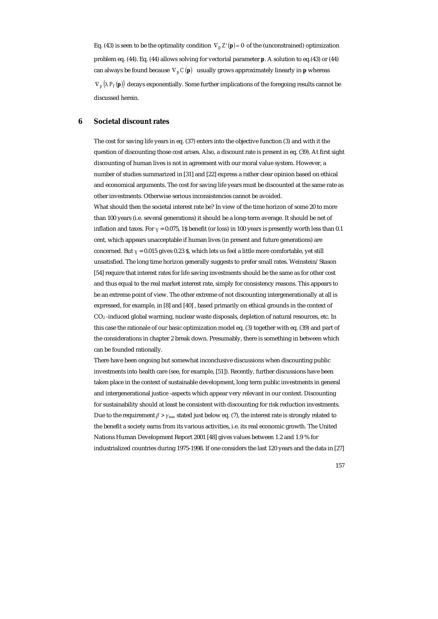Eq. (43) is seen to be the optimality condition  $\nabla_p Z'(p) = 0$  of the (unconstrained) optimization problem eq. (44). Eq. (44) allows solving for vectorial parameter **p**. A solution to eq.(43) or (44) can always be found because  $\nabla_p C(\mathbf{p})$  usually grows approximately linearly in **p** whereas  $\nabla_p \left( \lambda P_f(\mathbf{p}) \right)$  decays exponentially. Some further implications of the foregoing results cannot be discussed herein.

#### **6 Societal discount rates**

The cost for saving life years in eq. (37) enters into the objective function (3) and with it the question of discounting those cost arises. Also, a discount rate is present in eq. (39). At first sight discounting of human lives is not in agreement with our moral value system. However, a number of studies summarized in [31] and [22] express a rather clear opinion based on ethical and economical arguments. The cost for saving life years must be discounted at the same rate as other investments. Otherwise serious inconsistencies cannot be avoided. What should then the societal interest rate be? In view of the time horizon of some 20 to more than 100 years (i.e. several generations) it should be a long-term average. It should be net of inflation and taxes. For  $\gamma = 0.075$ , 1\$ benefit (or loss) in 100 years is presently worth less than 0.1 cent, which appears unacceptable if human lives (in present and future generations) are concerned. But  $y = 0.015$  gives 0.23 \$, which lets us feel a little more comfortable, yet still unsatisfied. The long time horizon generally suggests to prefer small rates. Weinstein/Stason [54] require that interest rates for life saving investments should be the same as for other cost and thus equal to the real market interest rate, simply for consistency reasons. This appears to be an extreme point of view. The other extreme of not discounting intergenerationally at all is expressed, for example, in [8] and [40] , based primarily on ethical grounds in the context of CO2 -induced global warming, nuclear waste disposals, depletion of natural resources, etc. In this case the rationale of our basic optimization model eq. (3) together with eq. (39) and part of the considerations in chapter 2 break down. Presumably, there is something in between which can be founded rationally.

There have been ongoing but somewhat inconclusive discussions when discounting public investments into health care (see, for example, [51]). Recently, further discussions have been taken place in the context of sustainable development, long term public investments in general and intergenerational justice -aspects which appear very relevant in our context. Discounting for sustainability should at least be consistent with discounting for risk reduction investments. Due to the requirement  $\beta > \gamma_{max}$  stated just below eq. (7), the interest rate is strongly related to the benefit a society earns from its various activities, i.e. its real economic growth. The United Nations Human Development Report 2001 [48] gives values between 1.2 and 1.9 % for industrialized countries during 1975-1998. If one considers the last 120 years and the data in [27]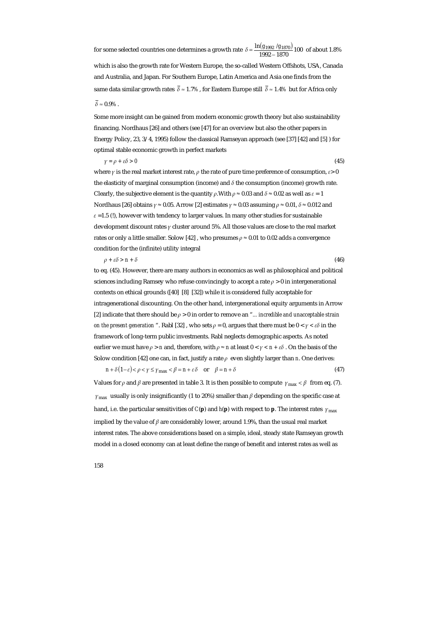for some selected countries one determines a growth rate  $\delta$  =  $\frac{\ln (g_{1992}/g_{1870})}{1992-1870}$ 100  $\delta = \frac{\ln(g_{1992} / g_{1870})}{1992 - 1870}$  100 of about 1.8%

which is also the growth rate for Western Europe, the so-called Western Offshots, USA, Canada and Australia, and Japan. For Southern Europe, Latin America and Asia one finds from the same data similar growth rates  $\bar{\delta} \approx 1.7\%$ , for Eastern Europe still  $\bar{\delta} \approx 1.4\%$  but for Africa only  $\overline{\delta} \approx 0.9\%$ .

Some more insight can be gained from modern economic growth theory but also sustainability financing. Nordhaus [26] and others (see [47] for an overview but also the other papers in Energy Policy, 23, 3/4, 1995) follow the classical Ramseyan approach (see [37] [42] and [5] ) for optimal stable economic growth in perfect markets

*γ = ρ + εδ > 0* (45)

where *γ* is the real market interest rate, *ρ* the rate of pure time preference of consumption, *ε*> 0 the elasticity of marginal consumption (income) and *δ* the consumption (income) growth rate. Clearly, the subjective element is the quantity  $\rho$ . With  $\rho \approx 0.03$  and  $\delta \approx 0.02$  as well as  $\varepsilon = 1$ Nordhaus [26] obtains *γ* ≈ 0.05. Arrow [2] estimates *γ* ≈ 0.03 assuming *ρ* ≈ 0.01, *δ* ≈ 0.012 and  $\varepsilon$  =1.5 (!), however with tendency to larger values. In many other studies for sustainable development discount rates *γ* cluster around 5%. All those values are close to the real market rates or only a little smaller. Solow [42] , who presumes *ρ* ≈ 0.01 to 0.02 adds a convergence condition for the (infinite) utility integral

$$
\rho + \varepsilon \delta > n + \delta \tag{46}
$$

to eq. (45). However, there are many authors in economics as well as philosophical and political sciences including Ramsey who refuse convincingly to accept a rate  $\rho > 0$  in intergenerational contexts on ethical grounds ([40] [8] [32]) while it is considered fully acceptable for intragenerational discounting. On the other hand, intergenerational equity arguments in Arrow [2] indicate that there should be *ρ* > 0 in order to remove an "*... incredible and unacceptable strain on the present generation* ". Rabl [32], who sets  $\rho = 0$ , argues that there must be  $0 < \gamma < \varepsilon \delta$  in the framework of long-term public investments. Rabl neglects demographic aspects. As noted earlier we must have  $\rho > n$  and, therefore, with  $\rho \approx n$  at least  $0 < \gamma < n + \varepsilon \delta$ . On the basis of the Solow condition [42] one can, in fact, justify a rate *ρ* even slightly larger than *n*. One derives:  $n + \delta(1-\varepsilon) < \rho < \gamma \le \gamma_{\text{max}} < \beta = n + \varepsilon \delta$  or  $\beta = n + \delta$  (47)

Values for *ρ* and *β* are presented in table 3. It is then possible to compute  $\gamma_{\text{max}} < \beta$  from eq. (7). max *γ* usually is only insignificantly (1 to 20%) smaller than *β* depending on the specific case at hand, i.e. the particular sensitivities of *C*(**p**) and *h*(**p**) with respect to **p**. The interest rates  $\gamma_{\text{max}}$ implied by the value of *β* are considerably lower, around 1.9%, than the usual real market interest rates. The above considerations based on a simple, ideal, steady state Ramseyan growth model in a closed economy can at least define the range of benefit and interest rates as well as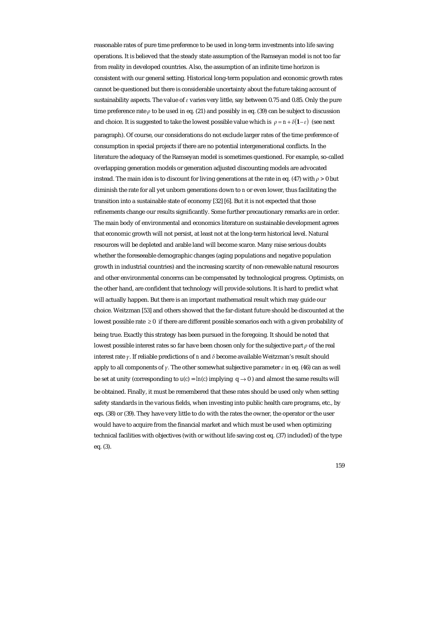reasonable rates of pure time preference to be used in long-term investments into life saving operations. It is believed that the steady state assumption of the Ramseyan model is not too far from reality in developed countries. Also, the assumption of an infinite time horizon is consistent with our general setting. Historical long-term population and economic growth rates cannot be questioned but there is considerable uncertainty about the future taking account of sustainability aspects. The value of *ε* varies very little, say between 0.75 and 0.85. Only the pure time preference rate  $\rho$  to be used in eq. (21) and possibly in eq. (39) can be subject to discussion and choice. It is suggested to take the lowest possible value which is  $\rho = n + \delta (1 - \varepsilon)$  (see next paragraph). Of course, our considerations do not exclude larger rates of the time preference of consumption in special projects if there are no potential intergenerational conflicts. In the literature the adequacy of the Ramseyan model is sometimes questioned. For example, so-called overlapping generation models or generation adjusted discounting models are advocated instead. The main idea is to discount for living generations at the rate in eq. (47) with *ρ >* 0 but diminish the rate for all yet unborn generations down to *n* or even lower, thus facilitating the transition into a sustainable state of economy [32] [6]. But it is not expected that those refinements change our results significantly. Some further precautionary remarks are in order. The main body of environmental and economics literature on sustainable development agrees that economic growth will not persist, at least not at the long-term historical level. Natural resources will be depleted and arable land will become scarce. Many raise serious doubts whether the foreseeable demographic changes (aging populations and negative population growth in industrial countries) and the increasing scarcity of non-renewable natural resources and other environmental concerns can be compensated by technological progress. Optimists, on the other hand, are confident that technology will provide solutions. It is hard to predict what will actually happen. But there is an important mathematical result which may guide our choice. Weitzman [53] and others showed that the far-distant future should be discounted at the lowest possible rate  $\geq 0$  if there are different possible scenarios each with a given probability of being true. Exactly this strategy has been pursued in the foregoing. It should be noted that lowest possible interest rates so far have been chosen only for the subjective part *ρ* of the real interest rate *γ*. If reliable predictions of *n* and *δ* become available Weitzman's result should apply to all components of *γ.* The other somewhat subjective parameter *ε* in eq. (46) can as well be set at unity (corresponding to  $u(c) = ln(c)$  implying  $q \rightarrow 0$ ) and almost the same results will be obtained. Finally, it must be remembered that these rates should be used only when setting safety standards in the various fields, when investing into public health care programs, etc., by eqs. (38) or (39). They have very little to do with the rates the owner, the operator or the user would have to acquire from the financial market and which must be used when optimizing technical facilities with objectives (with or without life saving cost eq. (37) included) of the type eq. (3).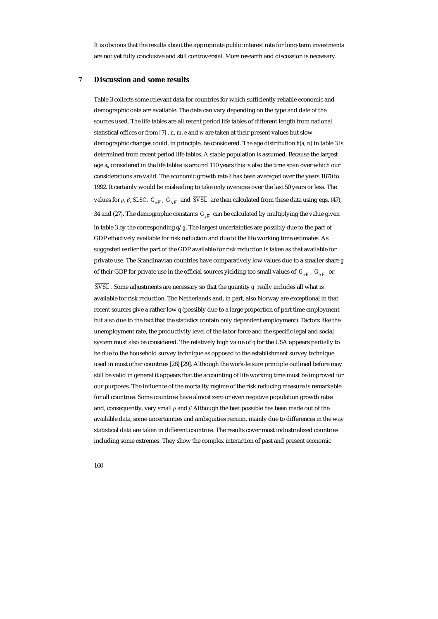It is obvious that the results about the appropriate public interest rate for long-term investments are not yet fully conclusive and still controversial. More research and discussion is necessary.

## **7 Discussion and some results**

Table 3 collects some relevant data for countries for which sufficiently reliable economic and demographic data are available. The data can vary depending on the type and date of the sources used. The life tables are all recent period life tables of different length from national statistical offices or from [7] . *n*, *m*, *e* and *w* are taken at their present values but slow demographic changes could, in principle, be considered. The age distribution *h*(*a*, *n*) in table 3 is determined from recent period life tables. A stable population is assumed. Because the largest age *au* considered in the life tables is around 110 years this is also the time span over which our considerations are valid. The economic growth rate *δ* has been averaged over the years 1870 to 1992. It certainly would be misleading to take only averages over the last 50 years or less. The values for *ρ*, *β*, *SLSC*,  $G_{\overline{nE}}$ ,  $G_{\Delta \overline{E}}$  and  $\overline{SVSL}$  are then calculated from these data using eqs. (47), 34 and (27). The demographic constants  $G_{\nu \overline{k}}$  can be calculated by multiplying the value given in table 3 by the corresponding *q*/*g*. The largest uncertainties are possibly due to the part of GDP effectively available for risk reduction and due to the life working time estimates. As suggested earlier the part of the GDP available for risk reduction is taken as that available for private use. The Scandinavian countries have comparatively low values due to a smaller share *g* of their GDP for private use in the official sources yielding too small values of  $G_{\overline{F}}$ ,  $G_{\overline{F}}$  or

 $\overline{SVSL}$  . Some adjustments are necessary so that the quantity *g* really includes all what is available for risk reduction. The Netherlands and, in part, also Norway are exceptional in that recent sources give a rather low *q* (possibly due to a large proportion of part time employment but also due to the fact that the statistics contain only dependent employment). Factors like the unemployment rate, the productivity level of the labor force and the specific legal and social system must also be considered. The relatively high value of *q* for the USA appears partially to be due to the household survey technique as opposed to the establishment survey technique used in most other countries [28] [29]. Although the work-leisure principle outlined before may still be valid in general it appears that the accounting of life working time must be improved for our purposes. The influence of the mortality regime of the risk reducing measure is remarkable for all countries. Some countries have almost zero or even negative population growth rates and, consequently, very small *ρ* and *β* Although the best possible has been made out of the available data, some uncertainties and ambiguities remain, mainly due to differences in the way statistical data are taken in different countries. The results cover most industrialized countries including some extremes. They show the complex interaction of past and present economic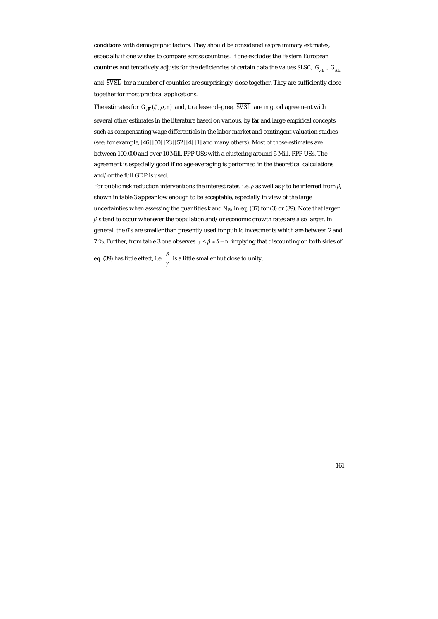conditions with demographic factors. They should be considered as preliminary estimates, especially if one wishes to compare across countries. If one excludes the Eastern European countries and tentatively adjusts for the deficiencies of certain data the values *SLSC*,  $G_{\pi \overline{E}}$ ,  $G_{\pi \overline{E}}$ 

and  $\overline{SVSL}$  for a number of countries are surprisingly close together. They are sufficiently close together for most practical applications.

The estimates for  $G_{\mathbf{v}\overline{E}}(\zeta, \rho, n)$  and, to a lesser degree,  $\overline{SVSL}$  are in good agreement with several other estimates in the literature based on various, by far and large empirical concepts such as compensating wage differentials in the labor market and contingent valuation studies (see, for example, [46] [50] [23] [52] [4] [1] and many others). Most of those estimates are between 100,000 and over 10 Mill. PPP US\$ with a clustering around 5 Mill. PPP US\$. The agreement is especially good if no age-averaging is performed in the theoretical calculations and/or the full GDP is used.

For public risk reduction interventions the interest rates, i.e.  $\rho$  as well as  $\gamma$  to be inferred from  $\beta$ , shown in table 3 appear low enough to be acceptable, especially in view of the large uncertainties when assessing the quantities *k* and *N<sub>PE</sub>* in eq. (37) for (3) or (39). Note that larger *β*'s tend to occur whenever the population and/or economic growth rates are also larger. In general, the *β*'s are smaller than presently used for public investments which are between 2 and 7 %. Further, from table 3 one observes *γ* ≤ *β* ≈ *δ* + *n* implying that discounting on both sides of

eq. (39) has little effect, i.e.  $\frac{\delta}{\gamma}$  is a little smaller but close to unity.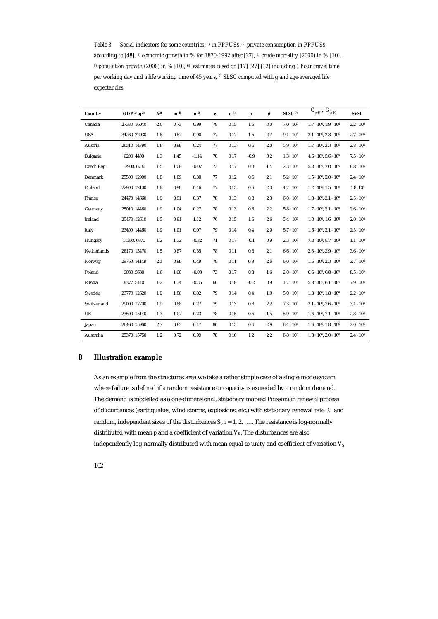*Table 3: Social indicators for some countries: 1) in PPPUS\$, 2) private consumption in PPPUS\$ according to [48], 3) economic growth in % for 1870-1992 after [27], 4) crude mortality (2000) in % [10], 5) population growth (2000) in % [10], 6) estimates based on [17] [27] [12] including 1 hour travel time per working day and a life working time of 45 years, 7) SLSC computed with g and age-averaged life expectancies* 

| Country     | <b>GDP</b> <sup>1</sup> ), $g^{(2)}$ | $\delta^{3}$ | m <sup>4</sup> | n <sub>5</sub> | e  | $q^{6}$ | $\rho$ | $\beta$ | $SLSC$ <sup>7)</sup> | $G_{\pi \overline{E}}$ , $G_{\Lambda \overline{E}}$ | <b>SVSL</b>         |
|-------------|--------------------------------------|--------------|----------------|----------------|----|---------|--------|---------|----------------------|-----------------------------------------------------|---------------------|
| Canada      | 27330, 16040                         | 2.0          | 0.73           | 0.99           | 78 | 0.15    | 1.6    | 3.0     | $7.0 \cdot 10^{5}$   | $1.7 \cdot 10^6$ , $1.9 \cdot 10^6$                 | $2.2 \cdot 10^6$    |
| <b>USA</b>  | 34260, 22030                         | 1.8          | 0.87           | 0.90           | 77 | 0.17    | 1.5    | 2.7     | $9.1 \cdot 10^{5}$   | $2.1 \cdot 10^6$ , $2.3 \cdot 10^6$                 | $2.7 \cdot 10^6$    |
| Austria     | 26310, 14790                         | 1.8          | 0.98           | 0.24           | 77 | 0.13    | 0.6    | 2.0     | $5.9 \cdot 10^{5}$   | $1.7 \cdot 10^6$ , $2.3 \cdot 10^6$                 | $2.8 \cdot 10^{6}$  |
| Bulgaria    | 6200, 4400                           | 1.3          | 1.45           | $-1.14$        | 70 | 0.17    | $-0.9$ | 0.2     | $1.3 \cdot 10^5$     | $4.6 \cdot 10^5$ , $5.6 \cdot 10^5$                 | $7.5 \cdot 10^5$    |
| Czech Rep.  | 12900.6730                           | 1.5          | 1.08           | $-0.07$        | 73 | 0.17    | 0.3    | 1.4     | $2.3 \cdot 10^5$     | $5.8 \cdot 10^5$ , $7.0 \cdot 10^5$                 | $8.8 \cdot 10^{5}$  |
| Denmark     | 25500, 12900                         | 1.8          | 1.09           | 0.30           | 77 | 0.12    | 0.6    | 2.1     | $5.2 \cdot 10^5$     | $1.5 \cdot 10^6$ , $2.0 \cdot 10^6$                 | $2.4 \cdot 10^{6}$  |
| Finland     | 22900, 12100                         | 1.8          | 0.98           | 0.16           | 77 | 0.15    | 0.6    | 2.3     | $4.7 \cdot 10^5$     | $1.2 \cdot 10^6$ , $1.5 \cdot 10^6$                 | 1.8.10 <sup>6</sup> |
| France      | 24470, 14660                         | 1.9          | 0.91           | 0.37           | 78 | 0.13    | 0.8    | 2.3     | $6.0 \cdot 10^{5}$   | $1.8 \cdot 10^6$ , $2.1 \cdot 10^6$                 | $2.5 \cdot 10^6$    |
| Germany     | 25010, 14460                         | 1.9          | 1.04           | 0.27           | 78 | 0.13    | 0.6    | 2.2     | $5.8 \cdot 10^{5}$   | $1.7 \cdot 10^6$ , $2.1 \cdot 10^6$                 | $2.6 \cdot 10^{6}$  |
| Ireland     | 25470, 12610                         | 1.5          | 0.81           | 1.12           | 76 | 0.15    | 1.6    | 2.6     | $5.4 \cdot 10^{5}$   | $1.3 \cdot 10^6$ , $1.6 \cdot 10^6$                 | $2.0 \cdot 10^{6}$  |
| Italy       | 23400, 14460                         | 1.9          | 1.01           | 0.07           | 79 | 0.14    | 0.4    | 2.0     | $5.7 \cdot 10^{5}$   | $1.6 \cdot 10^6$ , $2.1 \cdot 10^6$                 | $2.5 \cdot 10^6$    |
| Hungary     | 11200, 6870                          | 1.2          | 1.32           | $-0.32$        | 71 | 0.17    | $-0.1$ | 0.9     | $2.3 \cdot 10^5$     | $7.3 \cdot 10^5$ , $8.7 \cdot 10^5$                 | $1.1 \cdot 10^{6}$  |
| Netherlands | 26170.15470                          | 1.5          | 0.87           | 0.55           | 78 | 0.11    | 0.8    | 2.1     | $6.6 \cdot 10^{5}$   | $2.3 \cdot 10^6$ , $2.9 \cdot 10^6$                 | $3.6 \cdot 10^6$    |
| Norway      | 29760, 14149                         | 2.1          | 0.98           | 0.49           | 78 | 0.11    | 0.9    | 2.6     | $6.0 \cdot 10^{5}$   | $1.6 \cdot 10^6$ , $2.3 \cdot 10^6$                 | $2.7 \cdot 10^6$    |
| Poland      | 9030, 5630                           | 1.6          | 1.00           | $-0.03$        | 73 | 0.17    | 0.3    | 1.6     | $2.0 \cdot 10^5$     | $6.6 \cdot 10^5$ , $6.8 \cdot 10^5$                 | $8.5 \cdot 10^{5}$  |
| Russia      | 8377, 5440                           | 1.2          | 1.34           | $-0.35$        | 66 | 0.18    | $-0.2$ | 0.9     | $1.7 \cdot 10^{5}$   | $5.8 \cdot 10^5$ , $6.1 \cdot 10^5$                 | $7.9 \cdot 10^{5}$  |
| Sweden      | 23770, 12620                         | 1.9          | 1.06           | 0.02           | 79 | 0.14    | 0.4    | 1.9     | $5.0 \cdot 10^{5}$   | $1.3 \cdot 10^6$ , $1.8 \cdot 10^6$                 | $2.2 \cdot 10^{6}$  |
| Switzerland | 29000, 17700                         | 1.9          | 0.88           | 0.27           | 79 | 0.13    | 0.8    | 2.2     | $7.3 \cdot 10^5$     | $2.1 \cdot 10^6$ , $2.6 \cdot 10^6$                 | $3.1 \cdot 10^{6}$  |
| UK          | 23500, 15140                         | 1.3          | 1.07           | 0.23           | 78 | 0.15    | 0.5    | 1.5     | $5.9 \cdot 10^{5}$   | $1.6 \cdot 10^6$ , $2.1 \cdot 10^6$                 | $2.8 \cdot 10^6$    |
| Japan       | 26460, 15960                         | 2.7          | 0.83           | 0.17           | 80 | 0.15    | 0.6    | 2.9     | $6.4 \cdot 10^{5}$   | $1.6 \cdot 10^6$ , $1.8 \cdot 10^6$                 | $2.0 \cdot 10^6$    |
| Australia   | 25370, 15750                         | 1.2          | 0.72           | 0.99           | 78 | 0.16    | 1.2    | 2.2     | $6.8 \cdot 10^{5}$   | $1.8 \cdot 10^6$ , $2.0 \cdot 10^6$                 | $2.4 \cdot 10^{6}$  |

# **8 Illustration example**

As an example from the structures area we take a rather simple case of a single-mode system where failure is defined if a random resistance or capacity is exceeded by a random demand. The demand is modelled as a one-dimensional, stationary marked Poissonian renewal process of disturbances (earthquakes, wind storms, explosions, etc.) with stationary renewal rate *λ* and random, independent sizes of the disturbances  $S_i$ ,  $i = 1, 2, \ldots$ . The resistance is log-normally distributed with mean  $p$  and a coefficient of variation  $V_R$ . The disturbances are also independently log-normally distributed with mean equal to unity and coefficient of variation *V<sub>S</sub>* 

162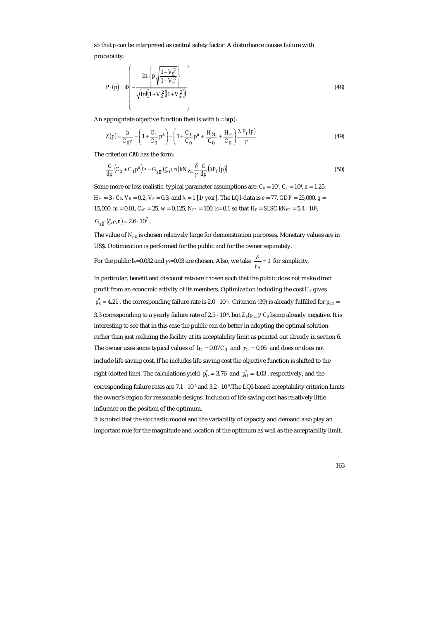so that *p* can be interpreted as central safety factor. A disturbance causes failure with probability:

$$
P_f(p) = \Phi \left( -\frac{\ln \left\{ p \sqrt{\frac{1 + V_S^2}{1 + V_R^2}} \right\}}{\sqrt{\ln \left( (1 + V_R^2)(1 + V_S^2) \right)}} \right)
$$
(48)

An appropriate objective function then is with  $b = b(\mathbf{p})$ :

$$
Z(p) = \frac{b}{C_0 \gamma} - \left(1 + \frac{C_1}{C_0} p^a\right) - \left(1 + \frac{C_1}{C_0} p^a + \frac{H_M}{C_0} + \frac{H_F}{C_0}\right) \frac{\lambda P_f(p)}{\gamma}
$$
(49)

The criterion (39) has the form:

$$
\frac{d}{dp}\left(C_0 + C_1 p^a\right) \ge -G_{x\overline{E}}\left(\zeta, \rho, n\right) kN_{PE} \frac{\delta}{\gamma} \frac{d}{dp} \left(\lambda P_f(p)\right) \tag{50}
$$

Some more or less realistic, typical parameter assumptions are:  $C_0 = 10^6$ ,  $C_1 = 10^4$ ,  $a = 1.25$ ,  $H_M = 3 \cdot C_0$ ,  $V_R = 0.2$ ,  $V_S = 0.3$ , and  $\lambda = 1$  [1/*year*]. The *LQI*-data is  $e = 77$ , *GDP* = 25,000, *g* = 15,000,  $m = 0.01$ ,  $C_{xE} = 25$ ,  $w = 0.125$ ,  $N_{PE} = 100$ ,  $k = 0.1$  so that  $H_F = S L S C k N_{PE} = 5.4 \cdot 10^6$ ,  $G_{v\overline{k}}(\zeta,\rho,n) = 2.6 \cdot 10^7$ .

The value of *NPE* is chosen relatively large for demonstration purposes. Monetary values are in US\$. Optimization is performed for the public and for the owner separately.

For the public *b<sub>s</sub>*=0.032 and *γ*<sub>*s*</sub>=0.03 are chosen. Also, we take  $\frac{\delta}{\gamma_S}$  = 1 for simplicity.

In particular, benefit and discount rate are chosen such that the public does not make direct profit from an economic activity of its members. Optimization including the cost *H<sub>F</sub>* gives  $p_S^* = 4.21$  , the corresponding failure rate is 2.0  $\cdot$  10<sup>-5</sup>. Criterion (39) is already fulfilled for  $p_{lim}$  = 3.3 corresponding to a yearly failure rate of 2.5  $\cdot$  10<sup>-4</sup>, but  $Z_s(p_{lim})/C_0$  being already negative. It is interesting to see that in this case the public can do better in adopting the optimal solution rather than just realizing the facility at its acceptability limit as pointed out already in section 6. The owner uses some typical values of  $b<sub>O</sub> = 0.07 C<sub>0</sub>$  and  $\gamma<sub>O</sub> = 0.05$  and does or does not include life saving cost. If he includes life saving cost the objective function is shifted to the right (dotted line). The calculations yield  $p_{O}^{*} = 3.76$  and  $p_{O}^{*} = 4.03$ , respectively, and the corresponding failure rates are  $7.1 \cdot 10^{-5}$  and  $3.2 \cdot 10^{-5}$ . The LQI-based acceptability criterion limits the owner's region for reasonable designs. Inclusion of life saving cost has relatively little influence on the position of the optimum.

It is noted that the stochastic model and the variability of capacity and demand also play an important role for the magnitude and location of the optimum as well as the acceptability limit.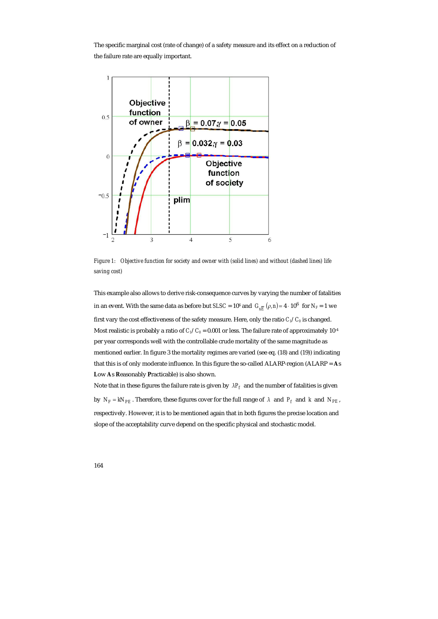The specific marginal cost (rate of change) of a safety measure and its effect on a reduction of the failure rate are equally important.



*Figure 1: Objective function for society and owner with (solid lines) and without (dashed lines) life saving cost)* 

This example also allows to derive risk-consequence curves by varying the number of fatalities in an event. With the same data as before but *SLSC* =  $10^6$  and  $G_{\rm vF}$   $(\rho, n)$  = 4  $\cdot 10^6$  for  $N_F$  = 1 we first vary the cost effectiveness of the safety measure. Here, only the ratio  $C_1/C_0$  is changed. Most realistic is probably a ratio of  $C_1/C_0 = 0.001$  or less. The failure rate of approximately 10<sup>-4</sup> per year corresponds well with the controllable crude mortality of the same magnitude as mentioned earlier. In figure 3 the mortality regimes are varied (see eq. (18) and (19)) indicating that this is of only moderate influence. In this figure the so-called ALARP-region (ALARP = **A**s **L**ow **A**s **R**easonably **P**racticable) is also shown.

Note that in these figures the failure rate is given by  $\lambda P_f$  and the number of fatalities is given by  $N_F = kN_{PE}$ . Therefore, these figures cover for the full range of  $\lambda$  and  $P_f$  and  $k$  and  $N_{PE}$ , respectively. However, it is to be mentioned again that in both figures the precise location and slope of the acceptability curve depend on the specific physical and stochastic model.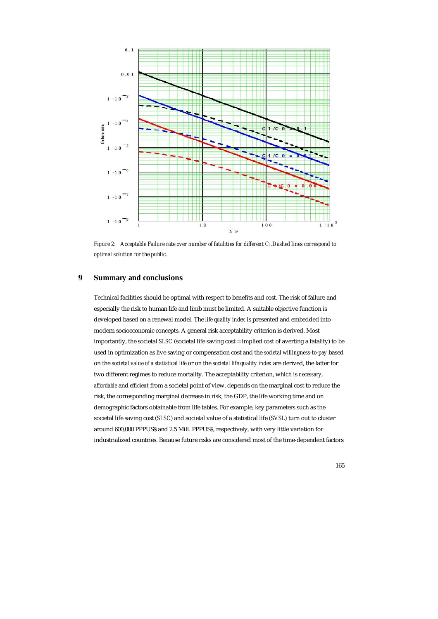

*Figure 2:* Acceptable Failure rate over number of fatalities for different C<sub>1</sub>. Dashed lines correspond to *optimal solution for the public.* 

## **9 Summary and conclusions**

Technical facilities should be optimal with respect to benefits and cost. The risk of failure and especially the risk to human life and limb must be limited. A suitable objective function is developed based on a renewal model. The *life quality index* is presented and embedded into modern socioeconomic concepts. A general risk acceptability criterion is derived. Most importantly, the societal *SLSC* (societal life saving cost = implied cost of averting a fatality) to be used in optimization as live saving or compensation cost and the *societal willingness-to-pay* based on the *societal value of a statistical life* or on the *societal life quality index* are derived, the latter for two different regimes to reduce mortality. The acceptability criterion, which is *necessary*, *affordable* and *efficient* from a societal point of view, depends on the marginal cost to reduce the risk, the corresponding marginal decrease in risk, the GDP, the life working time and on demographic factors obtainable from life tables. For example, key parameters such as the societal life saving cost (*SLSC*) and societal value of a statistical life (*SVSL*) turn out to cluster around 600,000 PPPUS\$ and 2.5 Mill. PPPUS\$, respectively, with very little variation for industrialized countries. Because future risks are considered most of the time-dependent factors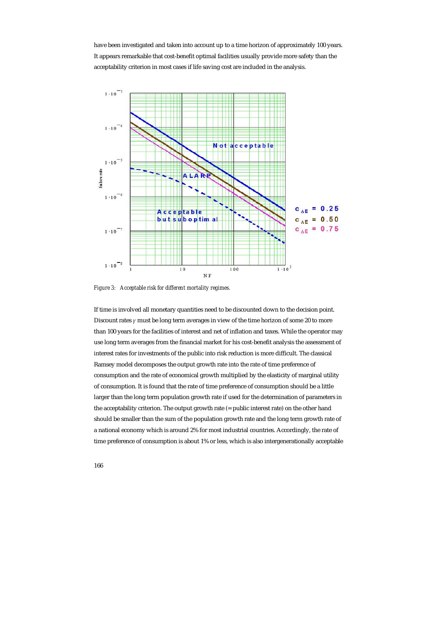have been investigated and taken into account up to a time horizon of approximately 100 years. It appears remarkable that cost-benefit optimal facilities usually provide more safety than the acceptability criterion in most cases if life saving cost are included in the analysis.



*Figure 3: Acceptable risk for different mortality regimes.* 

If time is involved all monetary quantities need to be discounted down to the decision point. Discount rates *γ* must be long term averages in view of the time horizon of some 20 to more than 100 years for the facilities of interest and net of inflation and taxes. While the operator may use long term averages from the financial market for his cost-benefit analysis the assessment of interest rates for investments of the public into risk reduction is more difficult. The classical Ramsey model decomposes the output growth rate into the rate of time preference of consumption and the rate of economical growth multiplied by the elasticity of marginal utility of consumption. It is found that the rate of time preference of consumption should be a little larger than the long term population growth rate if used for the determination of parameters in the acceptability criterion. The output growth rate (= public interest rate) on the other hand should be smaller than the sum of the population growth rate and the long term growth rate of a national economy which is around 2% for most industrial countries. Accordingly, the rate of time preference of consumption is about 1% or less, which is also intergenerationally acceptable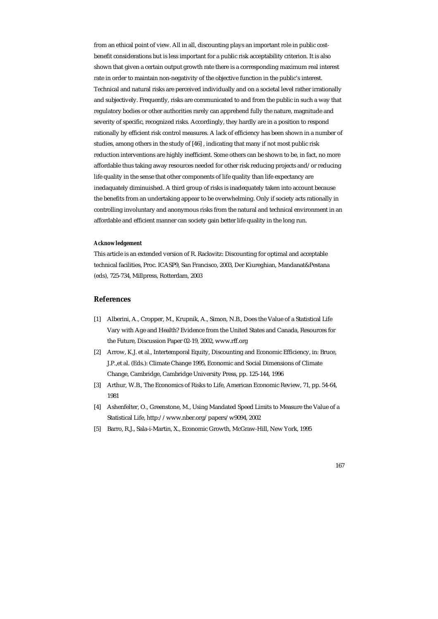from an ethical point of view. All in all, discounting plays an important role in public costbenefit considerations but is less important for a public risk acceptability criterion. It is also shown that given a certain output growth rate there is a corresponding maximum real interest rate in order to maintain non-negativity of the objective function in the public's interest. Technical and natural risks are perceived individually and on a societal level rather irrationally and subjectively. Frequently, risks are communicated to and from the public in such a way that regulatory bodies or other authorities rarely can apprehend fully the nature, magnitude and severity of specific, recognized risks. Accordingly, they hardly are in a position to respond rationally by efficient risk control measures. A lack of efficiency has been shown in a number of studies, among others in the study of [46] , indicating that many if not most public risk reduction interventions are highly inefficient. Some others can be shown to be, in fact, no more affordable thus taking away resources needed for other risk reducing projects and/or reducing life quality in the sense that other components of life quality than life expectancy are inedaquately diminuished. A third group of risks is inadequately taken into account because the benefits from an undertaking appear to be overwhelming. Only if society acts rationally in controlling involuntary and anonymous risks from the natural and technical environment in an affordable and efficient manner can society gain better life quality in the long run.

#### *Acknowledgement*

This article is an extended version of R. Rackwitz: Discounting for optimal and acceptable technical facilities, Proc. ICASP9, San Francisco, 2003, Der Kiureghian, Mandanat&Pestana (eds), 725-734, Millpress, Rotterdam, 2003

#### **References**

- [1] Alberini, A., Cropper, M., Krupnik, A., Simon, N.B., Does the Value of a Statistical Life Vary with Age and Health? Evidence from the United States and Canada, Resources for the Future, Discussion Paper 02-19, 2002, www.rff.org
- [2] Arrow, K.J. et al., Intertemporal Equity, Discounting and Economic Efficiency, in: Bruce, J.P.,et al. (Eds.): Climate Change 1995, Economic and Social Dimensions of Climate Change, Cambridge, Cambridge University Press, pp. 125-144, 1996
- [3] Arthur, W.B., The Economics of Risks to Life, American Economic Review, 71, pp. 54-64, 1981
- [4] Ashenfelter, O., Greenstone, M., Using Mandated Speed Limits to Measure the Value of a Statistical Life, http://www.nber.org/papers/w9094, 2002
- [5] Barro, R.J., Sala-i-Martin, X., Economic Growth, McGraw-Hill, New York, 1995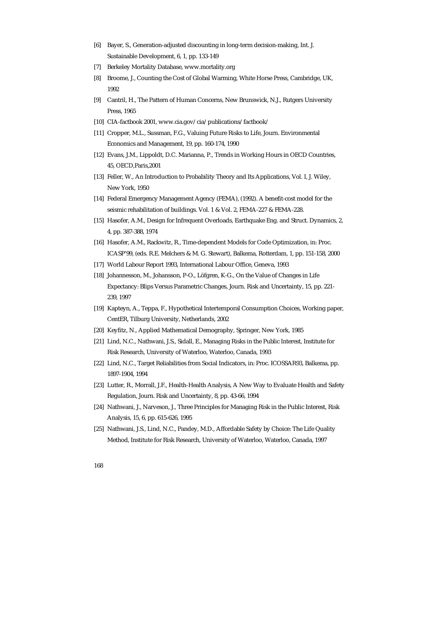- [6] Bayer, S., Generation-adjusted discounting in long-term decision-making, Int. J. Sustainable Development, 6, 1, pp. 133-149
- [7] Berkeley Mortality Database, www.mortality.org
- [8] Broome, J., Counting the Cost of Global Warming, White Horse Press, Cambridge, UK, 1992
- [9] Cantril, H., The Pattern of Human Concerns, New Brunswick, N.J., Rutgers University Press, 1965
- [10] CIA-factbook 2001, www.cia.gov/cia/publications/factbook/
- [11] Cropper, M.L., Sussman, F.G., Valuing Future Risks to Life, Journ. Environmental Economics and Management, 19, pp. 160-174, 1990
- [12] Evans, J.M., Lippoldt, D.C. Marianna, P., Trends in Working Hours in OECD Countries, 45, OECD,Paris,2001
- [13] Feller, W., An Introduction to Probability Theory and Its Applications, Vol. I, J. Wiley, New York, 1950
- [14] Federal Emergency Management Agency (FEMA), (1992). A benefit-cost model for the seismic rehabilitation of buildings. Vol. 1 & Vol. 2, FEMA-227 & FEMA-228.
- [15] Hasofer, A.M., Design for Infrequent Overloads, Earthquake Eng. and Struct. Dynamics, 2, 4, pp. 387-388, 1974
- [16] Hasofer, A.M., Rackwitz, R., Time-dependent Models for Code Optimization, in: Proc. ICASP'99, (eds. R.E. Melchers & M. G. Stewart), Balkema, Rotterdam, 1, pp. 151-158, 2000
- [17] World Labour Report 1993, International Labour Office, Geneva, 1993
- [18] Johannesson, M., Johansson, P-O., Löfgren, K-G., On the Value of Changes in Life Expectancy: Blips Versus Parametric Changes, Journ. Risk and Uncertainty, 15, pp. 221- 239, 1997
- [19] Kapteyn, A., Teppa, F., Hypothetical Intertemporal Consumption Choices, Working paper, CentER, Tilburg University, Netherlands, 2002
- [20] Keyfitz, N., Applied Mathematical Demography, Springer, New York, 1985
- [21] Lind, N.C., Nathwani, J.S., Sidall, E., Managing Risks in the Public Interest, Institute for Risk Research, University of Waterloo, Waterloo, Canada, 1993
- [22] Lind, N.C., Target Reliabilities from Social Indicators, in: Proc. ICOSSAR93, Balkema, pp. 1897-1904, 1994
- [23] Lutter, R., Morrall, J.F., Health-Health Analysis, A New Way to Evaluate Health and Safety Regulation, Journ. Risk and Uncertainty, 8, pp. 43-66, 1994
- [24] Nathwani, J., Narveson, J., Three Principles for Managing Risk in the Public Interest, Risk Analysis, 15, 6, pp. 615-626, 1995
- [25] Nathwani, J.S., Lind, N.C., Pandey, M.D., Affordable Safety by Choice: The Life Quality Method, Institute for Risk Research, University of Waterloo, Waterloo, Canada, 1997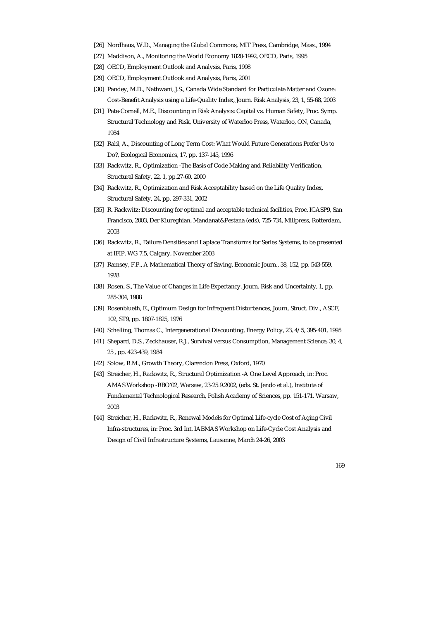- [26] Nordhaus, W.D., Managing the Global Commons, MIT Press, Cambridge, Mass., 1994
- [27] Maddison, A., Monitoring the World Economy 1820-1992, OECD, Paris, 1995
- [28] OECD, Employment Outlook and Analysis, Paris, 1998
- [29] OECD, Employment Outlook and Analysis, Paris, 2001
- [30] Pandey, M.D., Nathwani, J.S., Canada Wide Standard for Particulate Matter and Ozone: Cost-Benefit Analysis using a Life-Quality Index, Journ. Risk Analysis, 23, 1, 55-68, 2003
- [31] Pate-Cornell, M.E., Discounting in Risk Analysis: Capital vs. Human Safety, Proc. Symp. Structural Technology and Risk, University of Waterloo Press, Waterloo, ON, Canada, 1984
- [32] Rabl, A., Discounting of Long Term Cost: What Would Future Generations Prefer Us to Do?, Ecological Economics, 17, pp. 137-145, 1996
- [33] Rackwitz, R., Optimization -The Basis of Code Making and Reliability Verification, Structural Safety, 22, 1, pp.27-60, 2000
- [34] Rackwitz, R., Optimization and Risk Acceptability based on the Life Quality Index, Structural Safety, 24, pp. 297-331, 2002
- [35] R. Rackwitz: Discounting for optimal and acceptable technical facilities, Proc. ICASP9, San Francisco, 2003, Der Kiureghian, Mandanat&Pestana (eds), 725-734, Millpress, Rotterdam, 2003
- [36] Rackwitz, R., Failure Densities and Laplace Transforms for Series Systems, to be presented at IFIP, WG 7.5, Calgary, November 2003
- [37] Ramsey, F.P., A Mathematical Theory of Saving, Economic Journ., 38, 152, pp. 543-559, 1928
- [38] Rosen, S., The Value of Changes in Life Expectancy, Journ. Risk and Uncertainty, 1, pp. 285-304, 1988
- [39] Rosenblueth, E., Optimum Design for Infrequent Disturbances, Journ, Struct. Div., ASCE, 102, ST9, pp. 1807-1825, 1976
- [40] Schelling, Thomas C., Intergenerational Discounting, Energy Policy, 23, 4/5, 395-401, 1995
- [41] Shepard, D.S., Zeckhauser, R.J., Survival versus Consumption, Management Science, 30, 4, 25 , pp. 423-439, 1984
- [42] Solow, R.M., Growth Theory, Clarendon Press, Oxford, 1970
- [43] Streicher, H., Rackwitz, R., Structural Optimization -A One Level Approach, in: Proc. AMAS Workshop -RBO'02, Warsaw, 23-25.9.2002, (eds. St. Jendo et al.), Institute of Fundamental Technological Research, Polish Academy of Sciences, pp. 151-171, Warsaw, 2003
- [44] Streicher, H., Rackwitz, R., Renewal Models for Optimal Life-cycle Cost of Aging Civil Infra-structures, in: Proc. 3rd Int. IABMAS Workshop on Life-Cycle Cost Analysis and Design of Civil Infrastructure Systems, Lausanne, March 24-26, 2003